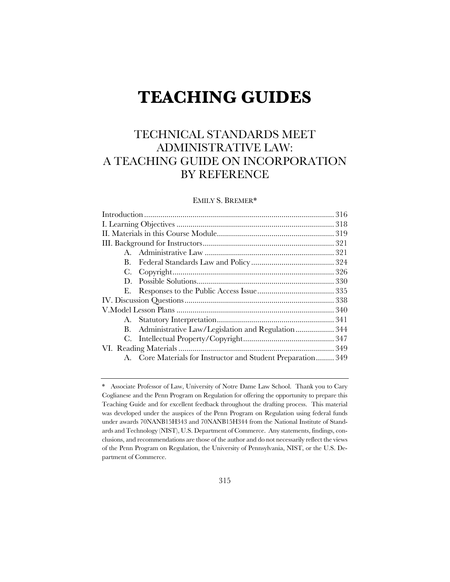# **TEACHING GUIDES**

# TECHNICAL STANDARDS MEET ADMINISTRATIVE LAW: A TEACHING GUIDE ON INCORPORATION BY REFERENCE

# EMILY S. BREMER\*

| $\mathbf{D}$ |                                                              |  |
|--------------|--------------------------------------------------------------|--|
|              |                                                              |  |
|              |                                                              |  |
|              |                                                              |  |
|              |                                                              |  |
|              | B. Administrative Law/Legislation and Regulation344          |  |
|              |                                                              |  |
|              |                                                              |  |
|              | A. Core Materials for Instructor and Student Preparation 349 |  |
|              |                                                              |  |

<sup>\*</sup> Associate Professor of Law, University of Notre Dame Law School. Thank you to Cary Coglianese and the Penn Program on Regulation for offering the opportunity to prepare this Teaching Guide and for excellent feedback throughout the drafting process. This material was developed under the auspices of the Penn Program on Regulation using federal funds under awards 70NANB15H343 and 70NANB15H344 from the National Institute of Standards and Technology (NIST), U.S. Department of Commerce. Any statements, findings, conclusions, and recommendations are those of the author and do not necessarily reflect the views of the Penn Program on Regulation, the University of Pennsylvania, NIST, or the U.S. Department of Commerce.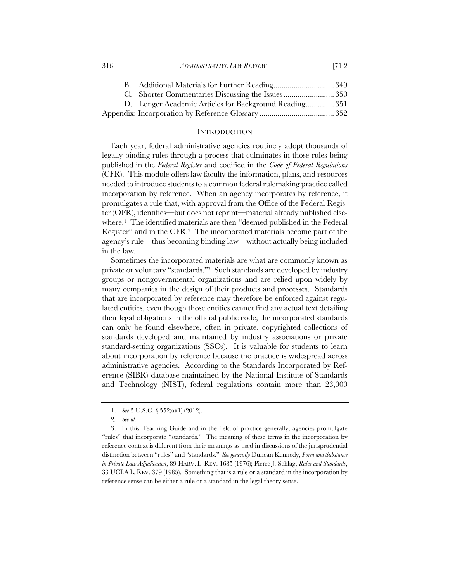#### 316 *ADMINISTRATIVE LAW REVIEW* [71:2

#### **INTRODUCTION**

Each year, federal administrative agencies routinely adopt thousands of legally binding rules through a process that culminates in those rules being published in the *Federal Register* and codified in the *Code of Federal Regulations* (CFR). This module offers law faculty the information, plans, and resources needed to introduce students to a common federal rulemaking practice called incorporation by reference. When an agency incorporates by reference, it promulgates a rule that, with approval from the Office of the Federal Register (OFR), identifies—but does not reprint—material already published elsewhere.1 The identified materials are then "deemed published in the Federal Register" and in the CFR.2 The incorporated materials become part of the agency's rule—thus becoming binding law—without actually being included in the law.

Sometimes the incorporated materials are what are commonly known as private or voluntary "standards."3 Such standards are developed by industry groups or nongovernmental organizations and are relied upon widely by many companies in the design of their products and processes. Standards that are incorporated by reference may therefore be enforced against regulated entities, even though those entities cannot find any actual text detailing their legal obligations in the official public code; the incorporated standards can only be found elsewhere, often in private, copyrighted collections of standards developed and maintained by industry associations or private standard-setting organizations (SSOs). It is valuable for students to learn about incorporation by reference because the practice is widespread across administrative agencies. According to the Standards Incorporated by Reference (SIBR) database maintained by the National Institute of Standards and Technology (NIST), federal regulations contain more than 23,000

<sup>1.</sup> *See* 5 U.S.C. § 552(a)(1) (2012).

<sup>2</sup>*. See id.*

<sup>3.</sup> In this Teaching Guide and in the field of practice generally, agencies promulgate "rules" that incorporate "standards." The meaning of these terms in the incorporation by reference context is different from their meanings as used in discussions of the jurisprudential distinction between "rules" and "standards." *See generally* Duncan Kennedy, *Form and Substance in Private Law Adjudication*, 89 HARV. L. REV. 1685 (1976); Pierre J. Schlag, *Rules and Standards*, 33 UCLA L. REV. 379 (1985). Something that is a rule or a standard in the incorporation by reference sense can be either a rule or a standard in the legal theory sense.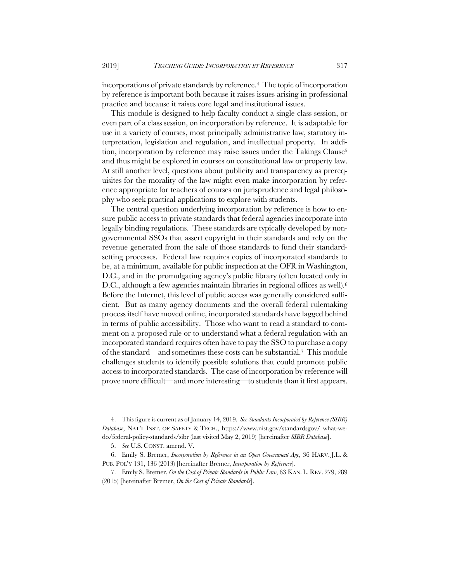incorporations of private standards by reference.4 The topic of incorporation by reference is important both because it raises issues arising in professional practice and because it raises core legal and institutional issues.

This module is designed to help faculty conduct a single class session, or even part of a class session, on incorporation by reference. It is adaptable for use in a variety of courses, most principally administrative law, statutory interpretation, legislation and regulation, and intellectual property. In addition, incorporation by reference may raise issues under the Takings Clause<sup>5</sup> and thus might be explored in courses on constitutional law or property law. At still another level, questions about publicity and transparency as prerequisites for the morality of the law might even make incorporation by reference appropriate for teachers of courses on jurisprudence and legal philosophy who seek practical applications to explore with students.

The central question underlying incorporation by reference is how to ensure public access to private standards that federal agencies incorporate into legally binding regulations. These standards are typically developed by nongovernmental SSOs that assert copyright in their standards and rely on the revenue generated from the sale of those standards to fund their standardsetting processes. Federal law requires copies of incorporated standards to be, at a minimum, available for public inspection at the OFR in Washington, D.C., and in the promulgating agency's public library (often located only in D.C., although a few agencies maintain libraries in regional offices as well).<sup>6</sup> Before the Internet, this level of public access was generally considered sufficient. But as many agency documents and the overall federal rulemaking process itself have moved online, incorporated standards have lagged behind in terms of public accessibility. Those who want to read a standard to comment on a proposed rule or to understand what a federal regulation with an incorporated standard requires often have to pay the SSO to purchase a copy of the standard—and sometimes these costs can be substantial.7 This module challenges students to identify possible solutions that could promote public access to incorporated standards. The case of incorporation by reference will prove more difficult—and more interesting—to students than it first appears.

<sup>4.</sup> This figure is current as of January 14, 2019. *See Standards Incorporated by Reference (SIBR) Database*, NAT'L INST. OF SAFETY & TECH., https://www.nist.gov/standardsgov/ what-wedo/federal-policy-standards/sibr (last visited May 2, 2019) [hereinafter *SIBR Database*].

<sup>5.</sup> *See* U.S. CONST. amend. V.

<sup>6.</sup> Emily S. Bremer, *Incorporation by Reference in an Open-Government Age*, 36 HARV. J.L. & PUB. POL'Y 131, 136 (2013) [hereinafter Bremer, *Incorporation by Reference*].

<sup>7.</sup> Emily S. Bremer, *On the Cost of Private Standards in Public Law*, 63 KAN. L. REV. 279, 289 (2015) [hereinafter Bremer, *On the Cost of Private Standards*].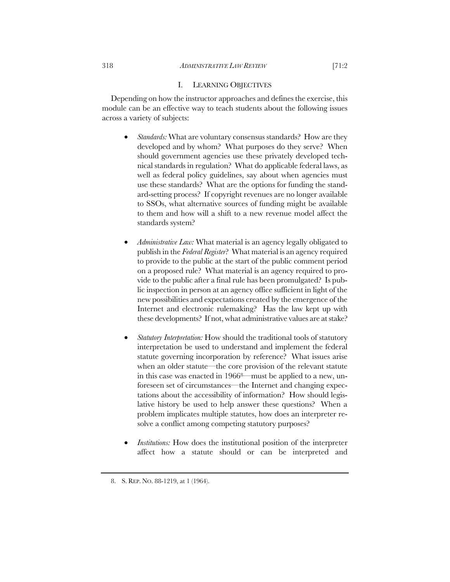## 318 *ADMINISTRATIVE LAW REVIEW* [71:2

# I. LEARNING OBJECTIVES

Depending on how the instructor approaches and defines the exercise, this module can be an effective way to teach students about the following issues across a variety of subjects:

- *Standards:* What are voluntary consensus standards? How are they developed and by whom? What purposes do they serve? When should government agencies use these privately developed technical standards in regulation? What do applicable federal laws, as well as federal policy guidelines, say about when agencies must use these standards? What are the options for funding the standard-setting process? If copyright revenues are no longer available to SSOs, what alternative sources of funding might be available to them and how will a shift to a new revenue model affect the standards system?
- *Administrative Law:* What material is an agency legally obligated to publish in the *Federal Register*? What material is an agency required to provide to the public at the start of the public comment period on a proposed rule? What material is an agency required to provide to the public after a final rule has been promulgated? Is public inspection in person at an agency office sufficient in light of the new possibilities and expectations created by the emergence of the Internet and electronic rulemaking? Has the law kept up with these developments? If not, what administrative values are at stake?
- *Statutory Interpretation:* How should the traditional tools of statutory interpretation be used to understand and implement the federal statute governing incorporation by reference? What issues arise when an older statute—the core provision of the relevant statute in this case was enacted in 19668—must be applied to a new, unforeseen set of circumstances—the Internet and changing expectations about the accessibility of information? How should legislative history be used to help answer these questions? When a problem implicates multiple statutes, how does an interpreter resolve a conflict among competing statutory purposes?
- *Institutions:* How does the institutional position of the interpreter affect how a statute should or can be interpreted and

<sup>8.</sup> S. REP. NO. 88-1219, at 1 (1964).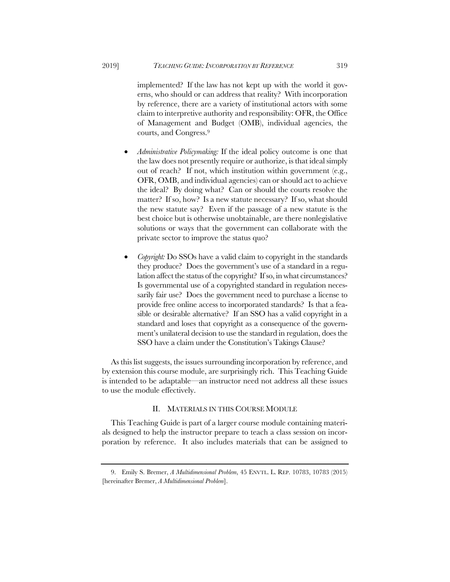implemented? If the law has not kept up with the world it governs, who should or can address that reality? With incorporation by reference, there are a variety of institutional actors with some claim to interpretive authority and responsibility: OFR, the Office of Management and Budget (OMB), individual agencies, the courts, and Congress.9

- *Administrative Policymaking:* If the ideal policy outcome is one that the law does not presently require or authorize, is that ideal simply out of reach? If not, which institution within government (e.g., OFR, OMB, and individual agencies) can or should act to achieve the ideal? By doing what? Can or should the courts resolve the matter? If so, how? Is a new statute necessary? If so, what should the new statute say? Even if the passage of a new statute is the best choice but is otherwise unobtainable, are there nonlegislative solutions or ways that the government can collaborate with the private sector to improve the status quo?
- *Copyright:* Do SSOs have a valid claim to copyright in the standards they produce? Does the government's use of a standard in a regulation affect the status of the copyright? If so, in what circumstances? Is governmental use of a copyrighted standard in regulation necessarily fair use? Does the government need to purchase a license to provide free online access to incorporated standards? Is that a feasible or desirable alternative? If an SSO has a valid copyright in a standard and loses that copyright as a consequence of the government's unilateral decision to use the standard in regulation, does the SSO have a claim under the Constitution's Takings Clause?

As this list suggests, the issues surrounding incorporation by reference, and by extension this course module, are surprisingly rich. This Teaching Guide is intended to be adaptable—an instructor need not address all these issues to use the module effectively.

# II. MATERIALS IN THIS COURSE MODULE

This Teaching Guide is part of a larger course module containing materials designed to help the instructor prepare to teach a class session on incorporation by reference. It also includes materials that can be assigned to

<sup>9.</sup> Emily S. Bremer, *A Multidimensional Problem*, 45 ENVTL. L. REP. 10783, 10783 (2015) [hereinafter Bremer, *A Multidimensional Problem*].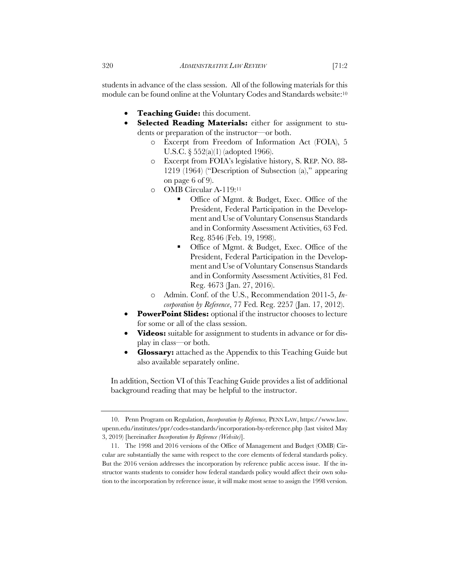students in advance of the class session. All of the following materials for this module can be found online at the Voluntary Codes and Standards website:10

- **Teaching Guide:** this document.
- **Selected Reading Materials:** either for assignment to students or preparation of the instructor—or both.
	- o Excerpt from Freedom of Information Act (FOIA), 5 U.S.C. § 552(a)(1) (adopted 1966).
	- o Excerpt from FOIA's legislative history, S. REP. NO. 88- 1219 (1964) ("Description of Subsection (a)," appearing on page 6 of 9).
	- o OMB Circular A-119:11
		- Office of Mgmt. & Budget, Exec. Office of the President, Federal Participation in the Development and Use of Voluntary Consensus Standards and in Conformity Assessment Activities, 63 Fed. Reg. 8546 (Feb. 19, 1998).
		- Office of Mgmt. & Budget, Exec. Office of the President, Federal Participation in the Development and Use of Voluntary Consensus Standards and in Conformity Assessment Activities, 81 Fed. Reg. 4673 (Jan. 27, 2016).
	- o Admin. Conf. of the U.S., Recommendation 2011-5, *Incorporation by Reference*, 77 Fed. Reg. 2257 (Jan. 17, 2012).
- **PowerPoint Slides:** optional if the instructor chooses to lecture for some or all of the class session.
- **Videos:** suitable for assignment to students in advance or for display in class—or both.
- **Glossary:** attached as the Appendix to this Teaching Guide but also available separately online.

In addition, Section VI of this Teaching Guide provides a list of additional background reading that may be helpful to the instructor.

<sup>10.</sup> Penn Program on Regulation, *Incorporation by Reference,* PENN LAW, https://www.law. upenn.edu/institutes/ppr/codes-standards/incorporation-by-reference.php (last visited May 3, 2019) [hereinafter *Incorporation by Reference (Website)*].

<sup>11.</sup> The 1998 and 2016 versions of the Office of Management and Budget (OMB) Circular are substantially the same with respect to the core elements of federal standards policy. But the 2016 version addresses the incorporation by reference public access issue. If the instructor wants students to consider how federal standards policy would affect their own solution to the incorporation by reference issue, it will make most sense to assign the 1998 version.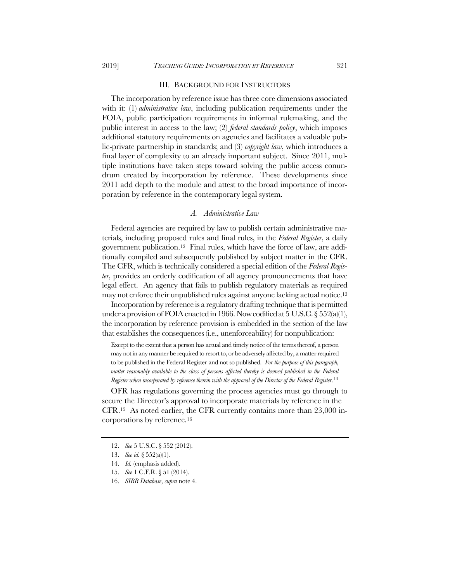#### III. BACKGROUND FOR INSTRUCTORS

The incorporation by reference issue has three core dimensions associated with it: (1) *administrative law*, including publication requirements under the FOIA, public participation requirements in informal rulemaking, and the public interest in access to the law; (2) *federal standards policy*, which imposes additional statutory requirements on agencies and facilitates a valuable public-private partnership in standards; and (3) *copyright law*, which introduces a final layer of complexity to an already important subject. Since 2011, multiple institutions have taken steps toward solving the public access conundrum created by incorporation by reference. These developments since 2011 add depth to the module and attest to the broad importance of incorporation by reference in the contemporary legal system.

# *A. Administrative Law*

Federal agencies are required by law to publish certain administrative materials, including proposed rules and final rules, in the *Federal Register*, a daily government publication.12 Final rules, which have the force of law, are additionally compiled and subsequently published by subject matter in the CFR. The CFR, which is technically considered a special edition of the *Federal Register*, provides an orderly codification of all agency pronouncements that have legal effect. An agency that fails to publish regulatory materials as required may not enforce their unpublished rules against anyone lacking actual notice.13

Incorporation by reference is a regulatory drafting technique that is permitted under a provision of FOIA enacted in 1966. Now codified at 5 U.S.C.  $\S 552(a)(1)$ , the incorporation by reference provision is embedded in the section of the law that establishes the consequences (i.e., unenforceability) for nonpublication:

Except to the extent that a person has actual and timely notice of the terms thereof, a person may not in any manner be required to resort to, or be adversely affected by, a matter required to be published in the Federal Register and not so published. *For the purpose of this paragraph, matter reasonably available to the class of persons affected thereby is deemed published in the Federal Register when incorporated by reference therein with the approval of the Director of the Federal Register*. 14

OFR has regulations governing the process agencies must go through to secure the Director's approval to incorporate materials by reference in the CFR.15 As noted earlier, the CFR currently contains more than 23,000 incorporations by reference.16

<sup>12.</sup> *See* 5 U.S.C. § 552 (2012).

<sup>13.</sup> *See id.* § 552(a)(1).

<sup>14.</sup> *Id.* (emphasis added).

<sup>15.</sup> *See* 1 C.F.R. § 51 (2014).

<sup>16.</sup> *SIBR Database*, *supra* note 4.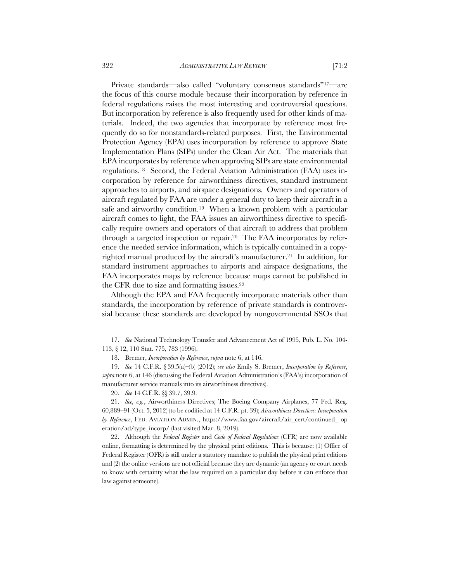322 *ADMINISTRATIVE LAW REVIEW* [71:2

Private standards—also called "voluntary consensus standards"17—are the focus of this course module because their incorporation by reference in federal regulations raises the most interesting and controversial questions. But incorporation by reference is also frequently used for other kinds of materials. Indeed, the two agencies that incorporate by reference most frequently do so for nonstandards-related purposes. First, the Environmental Protection Agency (EPA) uses incorporation by reference to approve State Implementation Plans (SIPs) under the Clean Air Act. The materials that EPA incorporates by reference when approving SIPs are state environmental regulations.18 Second, the Federal Aviation Administration (FAA) uses incorporation by reference for airworthiness directives, standard instrument approaches to airports, and airspace designations. Owners and operators of aircraft regulated by FAA are under a general duty to keep their aircraft in a safe and airworthy condition.<sup>19</sup> When a known problem with a particular aircraft comes to light, the FAA issues an airworthiness directive to specifically require owners and operators of that aircraft to address that problem through a targeted inspection or repair.20 The FAA incorporates by refer-

ence the needed service information, which is typically contained in a copyrighted manual produced by the aircraft's manufacturer.<sup>21</sup> In addition, for standard instrument approaches to airports and airspace designations, the FAA incorporates maps by reference because maps cannot be published in the CFR due to size and formatting issues.22

Although the EPA and FAA frequently incorporate materials other than standards, the incorporation by reference of private standards is controversial because these standards are developed by nongovernmental SSOs that

<sup>17.</sup> *See* National Technology Transfer and Advancement Act of 1995, Pub. L. No. 104- 113, § 12, 110 Stat. 775, 783 (1996).

<sup>18.</sup> Bremer, *Incorporation by Reference*, *supra* note 6, at 146.

<sup>19.</sup> *See* 14 C.F.R. § 39.5(a)–(b) (2012); *see also* Emily S. Bremer, *Incorporation by Reference*, *supra* note 6, at 146 (discussing the Federal Aviation Administration's (FAA's) incorporation of manufacturer service manuals into its airworthiness directives).

<sup>20.</sup> *See* 14 C.F.R. §§ 39.7, 39.9.

<sup>21.</sup> *See, e.g.*, Airworthiness Directives; The Boeing Company Airplanes, 77 Fed. Reg. 60,889–91 (Oct. 5, 2012) (to be codified at 14 C.F.R. pt. 39); *Airworthiness Directives: Incorporation by Reference*, FED. AVIATION ADMIN., https://www.faa.gov/aircraft/air\_cert/continued\_ op eration/ad/type\_incorp/ (last visited Mar. 8, 2019).

<sup>22.</sup> Although the *Federal Register* and *Code of Federal Regulations* (CFR) are now available online, formatting is determined by the physical print editions. This is because: (1) Office of Federal Register (OFR) is still under a statutory mandate to publish the physical print editions and (2) the online versions are not official because they are dynamic (an agency or court needs to know with certainty what the law required on a particular day before it can enforce that law against someone).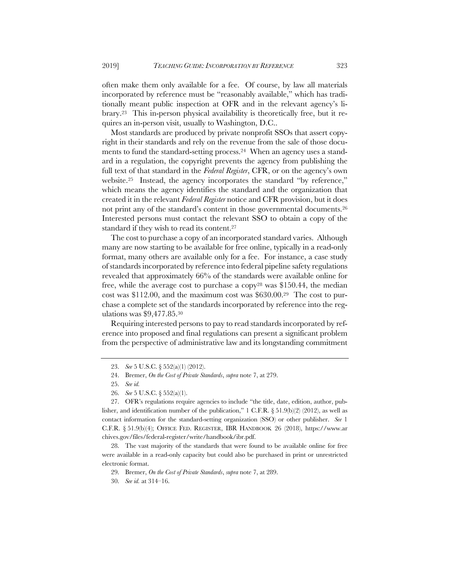often make them only available for a fee. Of course, by law all materials incorporated by reference must be "reasonably available," which has traditionally meant public inspection at OFR and in the relevant agency's library.23 This in-person physical availability is theoretically free, but it requires an in-person visit, usually to Washington, D.C..

Most standards are produced by private nonprofit SSOs that assert copyright in their standards and rely on the revenue from the sale of those documents to fund the standard-setting process.24 When an agency uses a standard in a regulation, the copyright prevents the agency from publishing the full text of that standard in the *Federal Register*, CFR, or on the agency's own website.25 Instead, the agency incorporates the standard "by reference," which means the agency identifies the standard and the organization that created it in the relevant *Federal Register* notice and CFR provision, but it does not print any of the standard's content in those governmental documents.<sup>26</sup> Interested persons must contact the relevant SSO to obtain a copy of the standard if they wish to read its content.27

The cost to purchase a copy of an incorporated standard varies. Although many are now starting to be available for free online, typically in a read-only format, many others are available only for a fee. For instance, a case study of standards incorporated by reference into federal pipeline safety regulations revealed that approximately 66% of the standards were available online for free, while the average cost to purchase a copy28 was \$150.44, the median cost was \$112.00, and the maximum cost was \$630.00.29 The cost to purchase a complete set of the standards incorporated by reference into the regulations was \$9,477.85.30

Requiring interested persons to pay to read standards incorporated by reference into proposed and final regulations can present a significant problem from the perspective of administrative law and its longstanding commitment

<sup>23.</sup> *See* 5 U.S.C. § 552(a)(1) (2012).

<sup>24.</sup> Bremer, *On the Cost of Private Standards*, *supra* note 7, at 279.

<sup>25.</sup> *See id.*

<sup>26.</sup> *See* 5 U.S.C. § 552(a)(1).

<sup>27.</sup> OFR's regulations require agencies to include "the title, date, edition, author, publisher, and identification number of the publication," 1 C.F.R.  $\S 51.9(b)(2)$  (2012), as well as contact information for the standard-setting organization (SSO) or other publisher. *See* 1 C.F.R. § 51.9(b)(4); OFFICE FED. REGISTER, IBR HANDBOOK 26 (2018), https://www.ar chives.gov/files/federal-register/write/handbook/ibr.pdf.

<sup>28.</sup> The vast majority of the standards that were found to be available online for free were available in a read-only capacity but could also be purchased in print or unrestricted electronic format.

<sup>29.</sup> Bremer, *On the Cost of Private Standards*, *supra* note 7, at 289.

<sup>30.</sup> *See id.* at 314–16.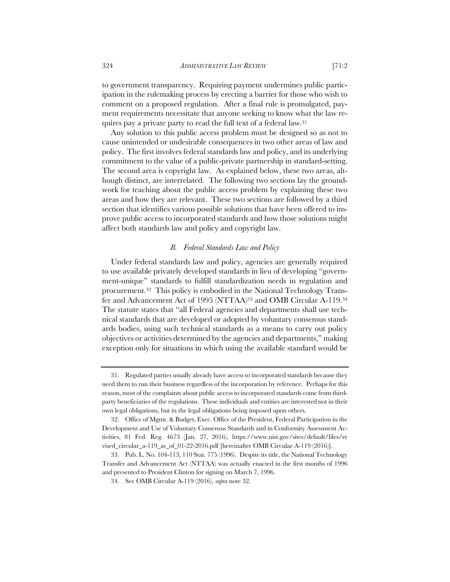to government transparency. Requiring payment undermines public participation in the rulemaking process by erecting a barrier for those who wish to comment on a proposed regulation. After a final rule is promulgated, payment requirements necessitate that anyone seeking to know what the law requires pay a private party to read the full text of a federal law.31

Any solution to this public access problem must be designed so as not to cause unintended or undesirable consequences in two other areas of law and policy. The first involves federal standards law and policy, and its underlying commitment to the value of a public-private partnership in standard-setting. The second area is copyright law. As explained below, these two areas, although distinct, are interrelated. The following two sections lay the groundwork for teaching about the public access problem by explaining these two areas and how they are relevant. These two sections are followed by a third section that identifies various possible solutions that have been offered to improve public access to incorporated standards and how those solutions might affect both standards law and policy and copyright law.

# *B. Federal Standards Law and Policy*

Under federal standards law and policy, agencies are generally required to use available privately developed standards in lieu of developing "government-unique" standards to fulfill standardization needs in regulation and procurement.32 This policy is embodied in the National Technology Transfer and Advancement Act of 1995 (NTTAA)33 and OMB Circular A-119.34 The statute states that "all Federal agencies and departments shall use technical standards that are developed or adopted by voluntary consensus standards bodies, using such technical standards as a means to carry out policy objectives or activities determined by the agencies and departments," making exception only for situations in which using the available standard would be

<sup>31.</sup> Regulated parties usually already have access to incorporated standards because they need them to run their business regardless of the incorporation by reference. Perhaps for this reason, most of the complaints about public access to incorporated standards come from thirdparty beneficiaries of the regulations. These individuals and entities are interested not in their own legal obligations, but in the legal obligations being imposed upon others.

<sup>32.</sup> Office of Mgmt. & Budget, Exec. Office of the President, Federal Participation in the Development and Use of Voluntary Consensus Standards and in Conformity Assessment Activities, 81 Fed. Reg. 4673 (Jan. 27, 2016), https://www.nist.gov/sites/default/files/re vised\_circular\_a-119\_as\_of\_01-22-2016.pdf [hereinafter OMB Circular A-119 (2016)].

<sup>33.</sup> Pub. L. No. 104-113, 110 Stat. 775 (1996). Despite its title, the National Technology Transfer and Advancement Act (NTTAA) was actually enacted in the first months of 1996 and presented to President Clinton for signing on March 7, 1996.

<sup>34.</sup> See OMB Circular A-119 (2016), *supra* note 32.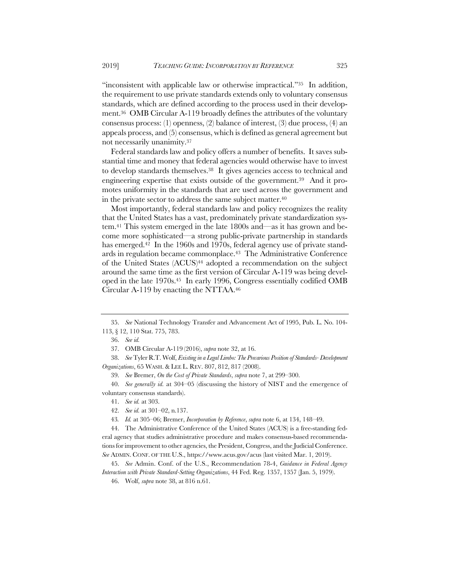"inconsistent with applicable law or otherwise impractical."<sup>35</sup> In addition, the requirement to use private standards extends only to voluntary consensus standards, which are defined according to the process used in their development.36 OMB Circular A-119 broadly defines the attributes of the voluntary consensus process: (1) openness, (2) balance of interest, (3) due process, (4) an appeals process, and (5) consensus, which is defined as general agreement but not necessarily unanimity.37

Federal standards law and policy offers a number of benefits. It saves substantial time and money that federal agencies would otherwise have to invest to develop standards themselves.38 It gives agencies access to technical and engineering expertise that exists outside of the government.39 And it promotes uniformity in the standards that are used across the government and in the private sector to address the same subject matter.40

Most importantly, federal standards law and policy recognizes the reality that the United States has a vast, predominately private standardization system.41 This system emerged in the late 1800s and—as it has grown and become more sophisticated—a strong public-private partnership in standards has emerged.<sup>42</sup> In the 1960s and 1970s, federal agency use of private standards in regulation became commonplace.43 The Administrative Conference of the United States (ACUS)<sup>44</sup> adopted a recommendation on the subject around the same time as the first version of Circular A-119 was being developed in the late 1970s.45 In early 1996, Congress essentially codified OMB Circular A-119 by enacting the NTTAA.46

40. *See generally id.* at 304–05 (discussing the history of NIST and the emergence of voluntary consensus standards).

42. *See id.* at 301–02, n.137.

44. The Administrative Conference of the United States (ACUS) is a free-standing federal agency that studies administrative procedure and makes consensus-based recommendations for improvement to other agencies, the President, Congress, and the Judicial Conference. *See* ADMIN. CONF. OF THE U.S., https://www.acus.gov/acus (last visited Mar. 1, 2019).

45. *See* Admin. Conf. of the U.S., Recommendation 78-4, *Guidance in Federal Agency Interaction with Private Standard-Setting Organizations*, 44 Fed. Reg. 1357, 1357 (Jan. 5, 1979).

46. Wolf, *supra* note 38, at 816 n.61.

<sup>35.</sup> *See* National Technology Transfer and Advancement Act of 1995, Pub. L. No. 104- 113, § 12, 110 Stat. 775, 783.

<sup>36.</sup> *See id.*

<sup>37.</sup> OMB Circular A-119 (2016), *supra* note 32, at 16.

<sup>38.</sup> *See* Tyler R.T. Wolf, *Existing in a Legal Limbo: The Precarious Position of Standards- Development Organizations*, 65 WASH. & LEE L. REV. 807, 812, 817 (2008).

<sup>39.</sup> *See* Bremer, *On the Cost of Private Standards*, *supra* note 7, at 299–300.

<sup>41.</sup> *See id.* at 303.

<sup>43</sup>*. Id.* at 305–06; Bremer, *Incorporation by Reference*, *supra* note 6, at 134, 148–49.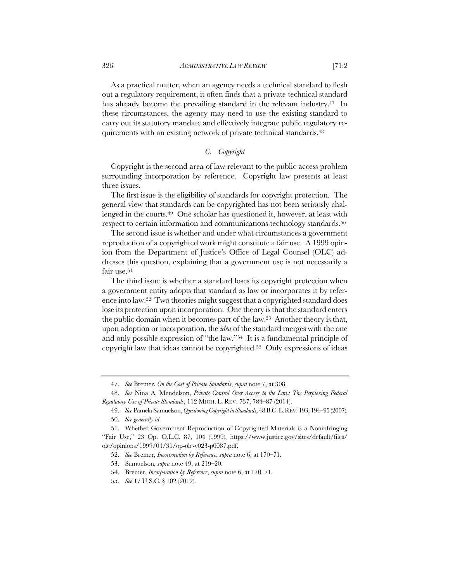As a practical matter, when an agency needs a technical standard to flesh out a regulatory requirement, it often finds that a private technical standard has already become the prevailing standard in the relevant industry.<sup>47</sup> In these circumstances, the agency may need to use the existing standard to carry out its statutory mandate and effectively integrate public regulatory requirements with an existing network of private technical standards.48

# *C. Copyright*

Copyright is the second area of law relevant to the public access problem surrounding incorporation by reference. Copyright law presents at least three issues.

The first issue is the eligibility of standards for copyright protection. The general view that standards can be copyrighted has not been seriously challenged in the courts.49 One scholar has questioned it, however, at least with respect to certain information and communications technology standards.<sup>50</sup>

The second issue is whether and under what circumstances a government reproduction of a copyrighted work might constitute a fair use. A 1999 opinion from the Department of Justice's Office of Legal Counsel (OLC) addresses this question, explaining that a government use is not necessarily a fair use.<sup>51</sup>

The third issue is whether a standard loses its copyright protection when a government entity adopts that standard as law or incorporates it by reference into law.52 Two theories might suggest that a copyrighted standard does lose its protection upon incorporation. One theory is that the standard enters the public domain when it becomes part of the law.53 Another theory is that, upon adoption or incorporation, the *idea* of the standard merges with the one and only possible expression of "the law."54 It is a fundamental principle of copyright law that ideas cannot be copyrighted.55 Only expressions of ideas

<sup>47.</sup> *See* Bremer, *On the Cost of Private Standards*, *supra* note 7, at 308.

<sup>48.</sup> *See* Nina A. Mendelson, *Private Control Over Access to the Law: The Perplexing Federal Regulatory Use of Private Standards*, 112 MICH. L. REV. 737, 784–87 (2014).

<sup>49.</sup> *See* Pamela Samuelson, *Questioning Copyright in Standards*, 48 B.C.L.REV. 193, 194–95 (2007). 50. *See generally id*.

<sup>51.</sup> Whether Government Reproduction of Copyrighted Materials is a Noninfringing "Fair Use," 23 Op. O.L.C. 87, 104 (1999), https://www.justice.gov/sites/default/files/ olc/opinions/1999/04/31/op-olc-v023-p0087.pdf.

<sup>52.</sup> *See* Bremer, *Incorporation by Reference*, *supra* note 6, at 170–71.

<sup>53.</sup> Samuelson, *supra* note 49, at 219–20.

<sup>54.</sup> Bremer, *Incorporation by Reference*, *supra* note 6, at 170–71.

<sup>55.</sup> *See* 17 U.S.C. § 102 (2012).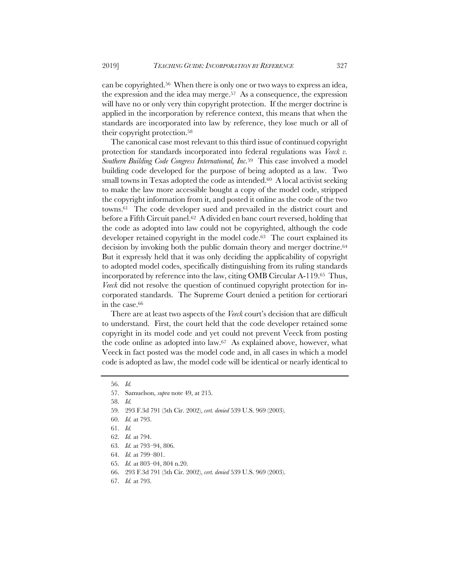can be copyrighted.56 When there is only one or two ways to express an idea, the expression and the idea may merge.57 As a consequence, the expression will have no or only very thin copyright protection. If the merger doctrine is applied in the incorporation by reference context, this means that when the standards are incorporated into law by reference, they lose much or all of their copyright protection.58

The canonical case most relevant to this third issue of continued copyright protection for standards incorporated into federal regulations was *Veeck v. Southern Building Code Congress International, Inc.*59 This case involved a model building code developed for the purpose of being adopted as a law. Two small towns in Texas adopted the code as intended. $60$  A local activist seeking to make the law more accessible bought a copy of the model code, stripped the copyright information from it, and posted it online as the code of the two towns.61 The code developer sued and prevailed in the district court and before a Fifth Circuit panel.62 A divided en banc court reversed, holding that the code as adopted into law could not be copyrighted, although the code developer retained copyright in the model code.<sup>63</sup> The court explained its decision by invoking both the public domain theory and merger doctrine.64 But it expressly held that it was only deciding the applicability of copyright to adopted model codes, specifically distinguishing from its ruling standards incorporated by reference into the law, citing OMB Circular A-119.65 Thus, *Veeck* did not resolve the question of continued copyright protection for incorporated standards. The Supreme Court denied a petition for certiorari in the case.66

There are at least two aspects of the *Veeck* court's decision that are difficult to understand. First, the court held that the code developer retained some copyright in its model code and yet could not prevent Veeck from posting the code online as adopted into law.67 As explained above, however, what Veeck in fact posted was the model code and, in all cases in which a model code is adopted as law, the model code will be identical or nearly identical to

<sup>56.</sup> *Id.*

<sup>57.</sup> Samuelson, *supra* note 49, at 215.

<sup>58.</sup> *Id.*

<sup>59.</sup> 293 F.3d 791 (5th Cir. 2002), *cert. denied* 539 U.S. 969 (2003).

<sup>60.</sup> *Id.* at 793.

<sup>61.</sup> *Id.*

<sup>62.</sup> *Id.* at 794.

<sup>63.</sup> *Id.* at 793–94, 806.

<sup>64.</sup> *Id.* at 799–801.

<sup>65.</sup> *Id.* at 803–04, 804 n.20.

<sup>66.</sup> 293 F.3d 791 (5th Cir. 2002), *cert. denied* 539 U.S. 969 (2003).

<sup>67.</sup> *Id.* at 793.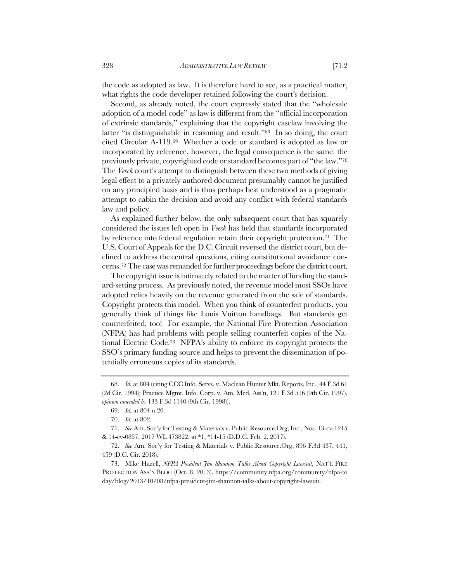the code as adopted as law. It is therefore hard to see, as a practical matter, what rights the code developer retained following the court's decision.

Second, as already noted, the court expressly stated that the "wholesale adoption of a model code" as law is different from the "official incorporation of extrinsic standards," explaining that the copyright caselaw involving the latter "is distinguishable in reasoning and result."<sup>68</sup> In so doing, the court cited Circular A-119.69 Whether a code or standard is adopted as law or incorporated by reference, however, the legal consequence is the same: the previously private, copyrighted code or standard becomes part of "the law."70 The *Veeck* court's attempt to distinguish between these two methods of giving legal effect to a privately authored document presumably cannot be justified on any principled basis and is thus perhaps best understood as a pragmatic attempt to cabin the decision and avoid any conflict with federal standards law and policy.

As explained further below, the only subsequent court that has squarely considered the issues left open in *Veeck* has held that standards incorporated by reference into federal regulation retain their copyright protection.<sup>71</sup> The U.S. Court of Appeals for the D.C. Circuit reversed the district court, but declined to address the central questions, citing constitutional avoidance concerns.72 The case was remanded for further proceedings before the district court.

The copyright issue is intimately related to the matter of funding the standard-setting process. As previously noted, the revenue model most SSOs have adopted relies heavily on the revenue generated from the sale of standards. Copyright protects this model. When you think of counterfeit products, you generally think of things like Louis Vuitton handbags. But standards get counterfeited, too! For example, the National Fire Protection Association (NFPA) has had problems with people selling counterfeit copies of the National Electric Code.73 NFPA's ability to enforce its copyright protects the SSO's primary funding source and helps to prevent the dissemination of potentially erroneous copies of its standards.

<sup>68.</sup> *Id.* at 804 (citing CCC Info. Servs. v. Maclean Hunter Mkt. Reports, Inc., 44 F.3d 61 (2d Cir. 1994); Practice Mgmt. Info. Corp. v. Am. Med. Ass'n, 121 F.3d 516 (9th Cir. 1997), *opinion amended by* 133 F.3d 1140 (9th Cir. 1998)).

<sup>69.</sup> *Id.* at 804 n.20.

<sup>70.</sup> *Id.* at 802.

<sup>71.</sup> *See* Am. Soc'y for Testing & Materials v. Public.Resource.Org, Inc., Nos. 13-cv-1215 & 14-cv-0857, 2017 WL 473822, at \*1, \*14-15 (D.D.C. Feb. 2, 2017).

<sup>72.</sup> *See* Am. Soc'y for Testing & Materials v. Public.Resource.Org, 896 F.3d 437, 441, 459 (D.C. Cir. 2018).

<sup>73.</sup> Mike Hazell, *NFPA President Jim Shannon Talks About Copyright Lawsuit*, NAT'L FIRE PROTECTION ASS'N BLOG (Oct. 8, 2013), https://community.nfpa.org/community/nfpa-to day/blog/2013/10/08/nfpa-president-jim-shannon-talks-about-copyright-lawsuit.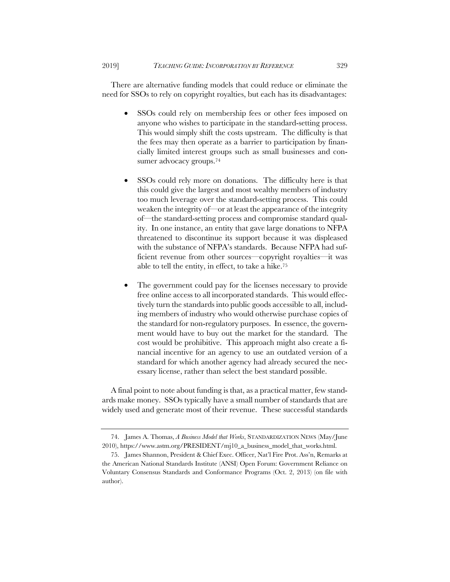There are alternative funding models that could reduce or eliminate the need for SSOs to rely on copyright royalties, but each has its disadvantages:

- SSOs could rely on membership fees or other fees imposed on anyone who wishes to participate in the standard-setting process. This would simply shift the costs upstream. The difficulty is that the fees may then operate as a barrier to participation by financially limited interest groups such as small businesses and consumer advocacy groups.74
- SSOs could rely more on donations. The difficulty here is that this could give the largest and most wealthy members of industry too much leverage over the standard-setting process. This could weaken the integrity of—or at least the appearance of the integrity of—the standard-setting process and compromise standard quality. In one instance, an entity that gave large donations to NFPA threatened to discontinue its support because it was displeased with the substance of NFPA's standards. Because NFPA had sufficient revenue from other sources—copyright royalties—it was able to tell the entity, in effect, to take a hike.75
- The government could pay for the licenses necessary to provide free online access to all incorporated standards. This would effectively turn the standards into public goods accessible to all, including members of industry who would otherwise purchase copies of the standard for non-regulatory purposes. In essence, the government would have to buy out the market for the standard. The cost would be prohibitive. This approach might also create a financial incentive for an agency to use an outdated version of a standard for which another agency had already secured the necessary license, rather than select the best standard possible.

A final point to note about funding is that, as a practical matter, few standards make money. SSOs typically have a small number of standards that are widely used and generate most of their revenue. These successful standards

<sup>74.</sup> James A. Thomas, *A Business Model that Works*, STANDARDIZATION NEWS (May/June 2010), https://www.astm.org/PRESIDENT/mj10\_a\_business\_model\_that\_works.html.

<sup>75.</sup> James Shannon, President & Chief Exec. Officer, Nat'l Fire Prot. Ass'n, Remarks at the American National Standards Institute (ANSI) Open Forum: Government Reliance on Voluntary Consensus Standards and Conformance Programs (Oct. 2, 2013) (on file with author).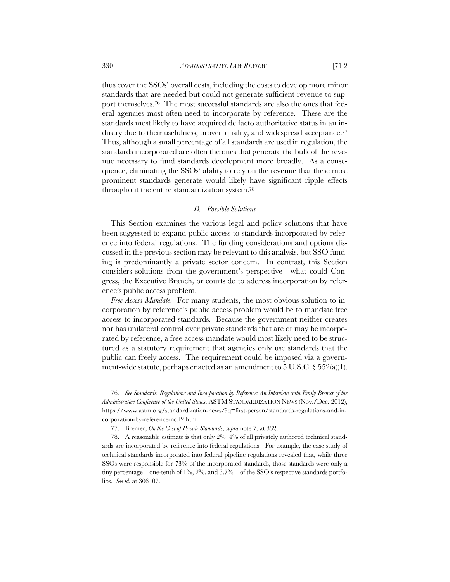thus cover the SSOs' overall costs, including the costs to develop more minor standards that are needed but could not generate sufficient revenue to support themselves.76 The most successful standards are also the ones that federal agencies most often need to incorporate by reference. These are the standards most likely to have acquired de facto authoritative status in an industry due to their usefulness, proven quality, and widespread acceptance.<sup>77</sup> Thus, although a small percentage of all standards are used in regulation, the standards incorporated are often the ones that generate the bulk of the revenue necessary to fund standards development more broadly. As a consequence, eliminating the SSOs' ability to rely on the revenue that these most prominent standards generate would likely have significant ripple effects throughout the entire standardization system.78

#### *D. Possible Solutions*

This Section examines the various legal and policy solutions that have been suggested to expand public access to standards incorporated by reference into federal regulations. The funding considerations and options discussed in the previous section may be relevant to this analysis, but SSO funding is predominantly a private sector concern. In contrast, this Section considers solutions from the government's perspective—what could Congress, the Executive Branch, or courts do to address incorporation by reference's public access problem.

*Free Access Mandate*. For many students, the most obvious solution to incorporation by reference's public access problem would be to mandate free access to incorporated standards. Because the government neither creates nor has unilateral control over private standards that are or may be incorporated by reference, a free access mandate would most likely need to be structured as a statutory requirement that agencies only use standards that the public can freely access. The requirement could be imposed via a government-wide statute, perhaps enacted as an amendment to  $5$  U.S.C.  $\S 552(a)(1)$ .

<sup>76.</sup> *See Standards, Regulations and Incorporation by Reference: An Interview with Emily Bremer of the Administrative Conference of the United States*, ASTM STANDARDIZATION NEWS (Nov./Dec. 2012), https://www.astm.org/standardization-news/?q=first-person/standards-regulations-and-incorporation-by-reference-nd12.html.

<sup>77.</sup> Bremer, *On the Cost of Private Standards*, *supra* note 7, at 332.

<sup>78.</sup> A reasonable estimate is that only 2%–4% of all privately authored technical standards are incorporated by reference into federal regulations. For example, the case study of technical standards incorporated into federal pipeline regulations revealed that, while three SSOs were responsible for 73% of the incorporated standards, those standards were only a tiny percentage—one-tenth of 1%, 2%, and 3.7%—of the SSO's respective standards portfolios. *See id.* at 306–07.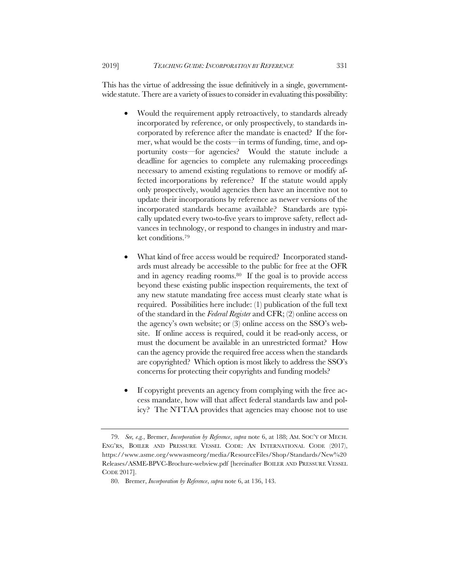This has the virtue of addressing the issue definitively in a single, governmentwide statute. There are a variety of issues to consider in evaluating this possibility:

- Would the requirement apply retroactively, to standards already incorporated by reference, or only prospectively, to standards incorporated by reference after the mandate is enacted? If the former, what would be the costs—in terms of funding, time, and opportunity costs—for agencies? Would the statute include a deadline for agencies to complete any rulemaking proceedings necessary to amend existing regulations to remove or modify affected incorporations by reference? If the statute would apply only prospectively, would agencies then have an incentive not to update their incorporations by reference as newer versions of the incorporated standards became available? Standards are typically updated every two-to-five years to improve safety, reflect advances in technology, or respond to changes in industry and market conditions.79
- What kind of free access would be required? Incorporated standards must already be accessible to the public for free at the OFR and in agency reading rooms.80 If the goal is to provide access beyond these existing public inspection requirements, the text of any new statute mandating free access must clearly state what is required. Possibilities here include: (1) publication of the full text of the standard in the *Federal Register* and CFR; (2) online access on the agency's own website; or (3) online access on the SSO's website. If online access is required, could it be read-only access, or must the document be available in an unrestricted format? How can the agency provide the required free access when the standards are copyrighted? Which option is most likely to address the SSO's concerns for protecting their copyrights and funding models?
- If copyright prevents an agency from complying with the free access mandate, how will that affect federal standards law and policy? The NTTAA provides that agencies may choose not to use

<sup>79.</sup> *See, e.g.*, Bremer, *Incorporation by Reference*, *supra* note 6, at 188; AM. SOC'Y OF MECH. ENG'RS, BOILER AND PRESSURE VESSEL CODE: AN INTERNATIONAL CODE (2017), https://www.asme.org/wwwasmeorg/media/ResourceFiles/Shop/Standards/New%20 Releases/ASME-BPVC-Brochure-webview.pdf [hereinafter BOILER AND PRESSURE VESSEL CODE 2017].

<sup>80.</sup> Bremer, *Incorporation by Reference*, *supra* note 6, at 136, 143.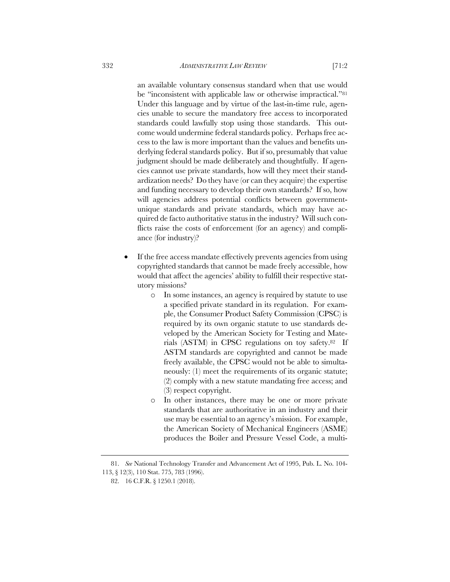an available voluntary consensus standard when that use would be "inconsistent with applicable law or otherwise impractical."81 Under this language and by virtue of the last-in-time rule, agencies unable to secure the mandatory free access to incorporated standards could lawfully stop using those standards. This outcome would undermine federal standards policy. Perhaps free access to the law is more important than the values and benefits underlying federal standards policy. But if so, presumably that value judgment should be made deliberately and thoughtfully. If agencies cannot use private standards, how will they meet their standardization needs? Do they have (or can they acquire) the expertise and funding necessary to develop their own standards? If so, how will agencies address potential conflicts between governmentunique standards and private standards, which may have acquired de facto authoritative status in the industry? Will such conflicts raise the costs of enforcement (for an agency) and compliance (for industry)?

- If the free access mandate effectively prevents agencies from using copyrighted standards that cannot be made freely accessible, how would that affect the agencies' ability to fulfill their respective statutory missions?
	- o In some instances, an agency is required by statute to use a specified private standard in its regulation. For example, the Consumer Product Safety Commission (CPSC) is required by its own organic statute to use standards developed by the American Society for Testing and Materials (ASTM) in CPSC regulations on toy safety.82 If ASTM standards are copyrighted and cannot be made freely available, the CPSC would not be able to simultaneously: (1) meet the requirements of its organic statute; (2) comply with a new statute mandating free access; and (3) respect copyright.
	- o In other instances, there may be one or more private standards that are authoritative in an industry and their use may be essential to an agency's mission. For example, the American Society of Mechanical Engineers (ASME) produces the Boiler and Pressure Vessel Code, a multi-

<sup>81.</sup> *See* National Technology Transfer and Advancement Act of 1995, Pub. L. No. 104- 113, § 12(3), 110 Stat. 775, 783 (1996).

<sup>82.</sup> 16 C.F.R. § 1250.1 (2018).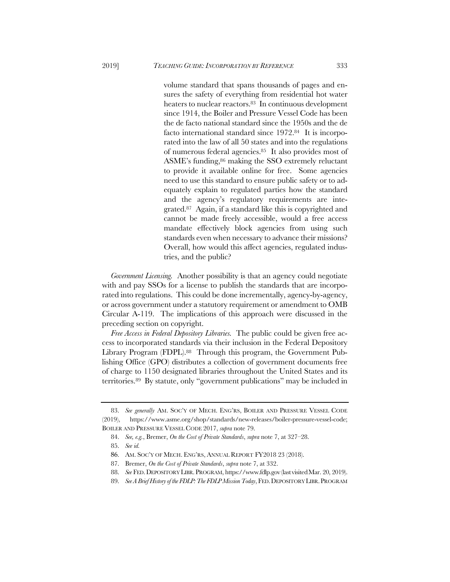volume standard that spans thousands of pages and ensures the safety of everything from residential hot water heaters to nuclear reactors.<sup>83</sup> In continuous development since 1914, the Boiler and Pressure Vessel Code has been the de facto national standard since the 1950s and the de facto international standard since 1972.84 It is incorporated into the law of all 50 states and into the regulations of numerous federal agencies.85 It also provides most of ASME's funding,86 making the SSO extremely reluctant to provide it available online for free. Some agencies need to use this standard to ensure public safety or to adequately explain to regulated parties how the standard and the agency's regulatory requirements are integrated.87 Again, if a standard like this is copyrighted and cannot be made freely accessible, would a free access mandate effectively block agencies from using such standards even when necessary to advance their missions? Overall, how would this affect agencies, regulated industries, and the public?

*Government Licensing.* Another possibility is that an agency could negotiate with and pay SSOs for a license to publish the standards that are incorporated into regulations. This could be done incrementally, agency-by-agency, or across government under a statutory requirement or amendment to OMB Circular A-119. The implications of this approach were discussed in the preceding section on copyright.

*Free Access in Federal Depository Libraries.* The public could be given free access to incorporated standards via their inclusion in the Federal Depository Library Program (FDPL).88 Through this program, the Government Publishing Office (GPO) distributes a collection of government documents free of charge to 1150 designated libraries throughout the United States and its territories.89 By statute, only "government publications" may be included in

<sup>83.</sup> *See generally* AM. SOC'Y OF MECH. ENG'RS, BOILER AND PRESSURE VESSEL CODE (2019), https://www.asme.org/shop/standards/new-releases/boiler-pressure-vessel-code; BOILER AND PRESSURE VESSEL CODE 2017, *supra* note 79.

<sup>84.</sup> *See, e.g.*, Bremer, *On the Cost of Private Standards*, *supra* note 7, at 327–28.

<sup>85.</sup> *See id.*

<sup>86</sup>. AM. SOC'Y OF MECH. ENG'RS, ANNUAL REPORT FY2018 23 (2018).

<sup>87.</sup> Bremer, *On the Cost of Private Standards*, *supra* note 7, at 332.

<sup>88.</sup> *See* FED.DEPOSITORY LIBR.PROGRAM, https://www.fdlp.gov(lastvisitedMar. 20, 2019).

<sup>89.</sup> *See A Brief History of the FDLP: The FDLP Mission Today*, FED. DEPOSITORY LIBR. PROGRAM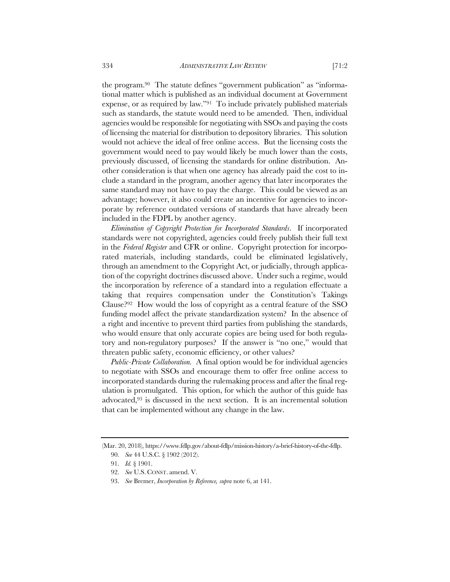the program.90 The statute defines "government publication" as "informational matter which is published as an individual document at Government expense, or as required by law."91 To include privately published materials such as standards, the statute would need to be amended. Then, individual agencies would be responsible for negotiating with SSOs and paying the costs of licensing the material for distribution to depository libraries. This solution would not achieve the ideal of free online access. But the licensing costs the government would need to pay would likely be much lower than the costs, previously discussed, of licensing the standards for online distribution. Another consideration is that when one agency has already paid the cost to include a standard in the program, another agency that later incorporates the same standard may not have to pay the charge. This could be viewed as an advantage; however, it also could create an incentive for agencies to incorporate by reference outdated versions of standards that have already been included in the FDPL by another agency.

*Elimination of Copyright Protection for Incorporated Standards*. If incorporated standards were not copyrighted, agencies could freely publish their full text in the *Federal Register* and CFR or online. Copyright protection for incorporated materials, including standards, could be eliminated legislatively, through an amendment to the Copyright Act, or judicially, through application of the copyright doctrines discussed above. Under such a regime, would the incorporation by reference of a standard into a regulation effectuate a taking that requires compensation under the Constitution's Takings Clause?92 How would the loss of copyright as a central feature of the SSO funding model affect the private standardization system? In the absence of a right and incentive to prevent third parties from publishing the standards, who would ensure that only accurate copies are being used for both regulatory and non-regulatory purposes? If the answer is "no one," would that threaten public safety, economic efficiency, or other values?

*Public-Private Collaboration.* A final option would be for individual agencies to negotiate with SSOs and encourage them to offer free online access to incorporated standards during the rulemaking process and after the final regulation is promulgated. This option, for which the author of this guide has advocated,93 is discussed in the next section. It is an incremental solution that can be implemented without any change in the law.

<sup>(</sup>Mar. 20, 2018), https://www.fdlp.gov/about-fdlp/mission-history/a-brief-history-of-the-fdlp. 90. *See* 44 U.S.C. § 1902 (2012).

<sup>91.</sup> *Id.* § 1901.

<sup>92.</sup> *See* U.S. CONST. amend. V.

<sup>93.</sup> *See* Bremer, *Incorporation by Reference, supra* note 6, at 141.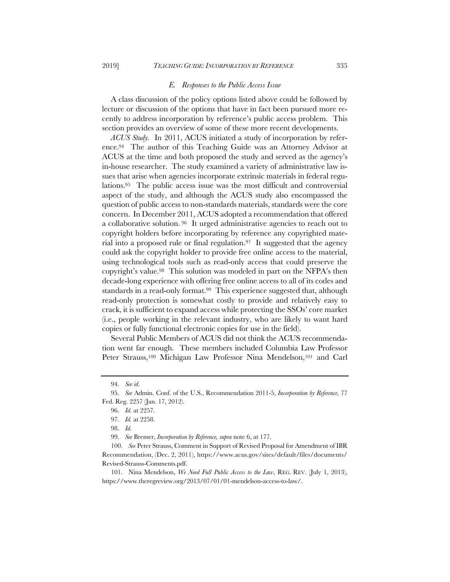#### *E. Responses to the Public Access Issue*

A class discussion of the policy options listed above could be followed by lecture or discussion of the options that have in fact been pursued more recently to address incorporation by reference's public access problem. This section provides an overview of some of these more recent developments.

*ACUS Study.* In 2011, ACUS initiated a study of incorporation by reference.94 The author of this Teaching Guide was an Attorney Advisor at ACUS at the time and both proposed the study and served as the agency's in-house researcher. The study examined a variety of administrative law issues that arise when agencies incorporate extrinsic materials in federal regulations.95 The public access issue was the most difficult and controversial aspect of the study, and although the ACUS study also encompassed the question of public access to non-standards materials, standards were the core concern. In December 2011, ACUS adopted a recommendation that offered a collaborative solution. 96 It urged administrative agencies to reach out to copyright holders before incorporating by reference any copyrighted material into a proposed rule or final regulation.97 It suggested that the agency could ask the copyright holder to provide free online access to the material, using technological tools such as read-only access that could preserve the copyright's value.98 This solution was modeled in part on the NFPA's then decade-long experience with offering free online access to all of its codes and standards in a read-only format.<sup>99</sup> This experience suggested that, although read-only protection is somewhat costly to provide and relatively easy to crack, it is sufficient to expand access while protecting the SSOs' core market (i.e., people working in the relevant industry, who are likely to want hard copies or fully functional electronic copies for use in the field).

Several Public Members of ACUS did not think the ACUS recommendation went far enough. These members included Columbia Law Professor Peter Strauss,<sup>100</sup> Michigan Law Professor Nina Mendelson,<sup>101</sup> and Carl

<sup>94.</sup> *See id*.

<sup>95.</sup> *See* Admin. Conf. of the U.S., Recommendation 2011-5, *Incorporation by Reference*, 77 Fed. Reg. 2257 (Jan. 17, 2012).

<sup>96.</sup> *Id.* at 2257.

<sup>97.</sup> *Id.* at 2258.

<sup>98.</sup> *Id.*

<sup>99.</sup> *See* Bremer, *Incorporation by Reference, supra* note 6, at 177.

<sup>100.</sup> *See* Peter Strauss, Comment in Support of Revised Proposal for Amendment of IBR Recommendation, (Dec. 2, 2011), https://www.acus.gov/sites/default/files/documents/ Revised-Strauss-Comments.pdf.

<sup>101.</sup> Nina Mendelson, *We Need Full Public Access to the Law*, REG. REV. (July 1, 2013), https://www.theregreview.org/2013/07/01/01-mendelson-access-to-law/.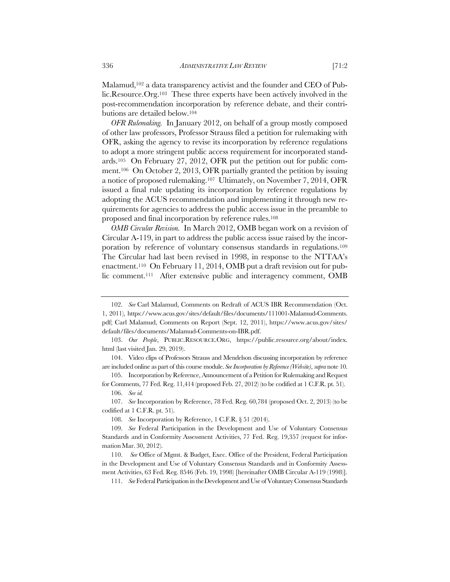Malamud,<sup>102</sup> a data transparency activist and the founder and CEO of Public.Resource.Org.103 These three experts have been actively involved in the post-recommendation incorporation by reference debate, and their contributions are detailed below.104

*OFR Rulemaking.* In January 2012, on behalf of a group mostly composed of other law professors, Professor Strauss filed a petition for rulemaking with OFR, asking the agency to revise its incorporation by reference regulations to adopt a more stringent public access requirement for incorporated standards.105 On February 27, 2012, OFR put the petition out for public comment.106 On October 2, 2013, OFR partially granted the petition by issuing a notice of proposed rulemaking.107 Ultimately, on November 7, 2014, OFR issued a final rule updating its incorporation by reference regulations by adopting the ACUS recommendation and implementing it through new requirements for agencies to address the public access issue in the preamble to proposed and final incorporation by reference rules.108

*OMB Circular Revision.* In March 2012, OMB began work on a revision of Circular A-119, in part to address the public access issue raised by the incorporation by reference of voluntary consensus standards in regulations.109 The Circular had last been revised in 1998, in response to the NTTAA's enactment.110 On February 11, 2014, OMB put a draft revision out for public comment.111 After extensive public and interagency comment, OMB

105. Incorporation by Reference, Announcement of a Petition for Rulemaking and Request for Comments, 77 Fed. Reg. 11,414 (proposed Feb. 27, 2012) (to be codified at 1 C.F.R. pt. 51).

<sup>102.</sup> *See* Carl Malamud, Comments on Redraft of ACUS IBR Recommendation (Oct. 1, 2011), https://www.acus.gov/sites/default/files/documents/111001-Malamud-Comments. pdf; Carl Malamud, Comments on Report (Sept. 12, 2011), https://www.acus.gov/sites/ default/files/documents/Malamud-Comments-on-IBR.pdf.

<sup>103.</sup> *Our People*, PUBLIC.RESOURCE.ORG, https://public.resource.org/about/index. html (last visited Jan. 29, 2019).

<sup>104.</sup> Video clips of Professors Strauss and Mendelson discussing incorporation by reference are included online as part of this course module. *See Incorporation byReference(Website)*, *supra* note 10.

<sup>106.</sup> *See id.*

<sup>107.</sup> *See* Incorporation by Reference, 78 Fed. Reg. 60,784 (proposed Oct. 2, 2013) (to be codified at 1 C.F.R. pt. 51).

<sup>108.</sup> *See* Incorporation by Reference, 1 C.F.R. § 51 (2014).

<sup>109.</sup> *See* Federal Participation in the Development and Use of Voluntary Consensus Standards and in Conformity Assessment Activities, 77 Fed. Reg. 19,357 (request for information Mar. 30, 2012).

<sup>110.</sup> *See* Office of Mgmt. & Budget, Exec. Office of the President, Federal Participation in the Development and Use of Voluntary Consensus Standards and in Conformity Assessment Activities, 63 Fed. Reg. 8546 (Feb. 19, 1998) [hereinafter OMB Circular A-119 (1998)].

<sup>111.</sup> *See* Federal Participation in theDevelopment and Use of Voluntary Consensus Standards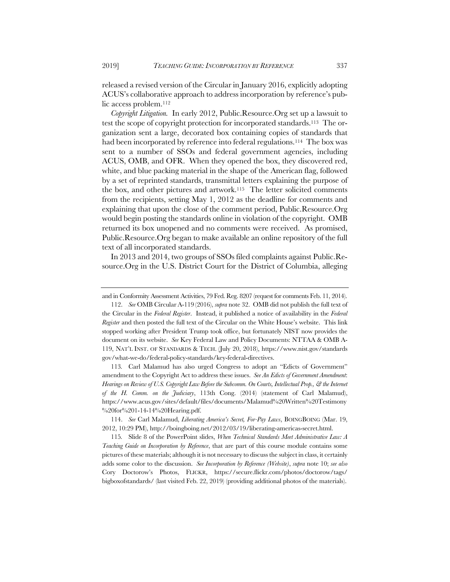released a revised version of the Circular in January 2016, explicitly adopting ACUS's collaborative approach to address incorporation by reference's public access problem.112

*Copyright Litigation.* In early 2012, Public.Resource.Org set up a lawsuit to test the scope of copyright protection for incorporated standards.113 The organization sent a large, decorated box containing copies of standards that had been incorporated by reference into federal regulations.<sup>114</sup> The box was sent to a number of SSOs and federal government agencies, including ACUS, OMB, and OFR. When they opened the box, they discovered red, white, and blue packing material in the shape of the American flag, followed by a set of reprinted standards, transmittal letters explaining the purpose of the box, and other pictures and artwork.115 The letter solicited comments from the recipients, setting May 1, 2012 as the deadline for comments and explaining that upon the close of the comment period, Public.Resource.Org would begin posting the standards online in violation of the copyright. OMB returned its box unopened and no comments were received. As promised, Public.Resource.Org began to make available an online repository of the full text of all incorporated standards.

In 2013 and 2014, two groups of SSOs filed complaints against Public.Resource.Org in the U.S. District Court for the District of Columbia, alleging

113*.* Carl Malamud has also urged Congress to adopt an "Edicts of Government" amendment to the Copyright Act to address these issues. *See An Edicts of Government Amendment*: *Hearings on Review of U.S. Copyright Law Before the Subcomm. On Courts, Intellectual Prop., & the Internet of the H. Comm. on the Judiciary*, 113th Cong. (2014) (statement of Carl Malamud), https://www.acus.gov/sites/default/files/documents/Malamud%20Written%20Testimony  $\frac{6}{20}$ for%201-14-14%20Hearing.pdf.

114. *See* Carl Malamud, *Liberating America's Secret, For-Pay Laws*, BOINGBOING (Mar. 19, 2012, 10:29 PM), http://boingboing.net/2012/03/19/liberating-americas-secret.html.

115*.* Slide 8 of the PowerPoint slides, *When Technical Standards Meet Administrative Law: A Teaching Guide on Incorporation by Reference*, that are part of this course module contains some pictures of these materials; although it is not necessary to discuss the subject in class, it certainly adds some color to the discussion. *See Incorporation by Reference (Website)*, *supra* note 10; *see also* Cory Doctorow's Photos, FLICKR, https://secure.flickr.com/photos/doctorow/tags/ bigboxofstandards/ (last visited Feb. 22, 2019) (providing additional photos of the materials).

and in Conformity Assessment Activities, 79 Fed. Reg. 8207 (request for comments Feb. 11, 2014).

<sup>112.</sup> *See* OMB CircularA-119 (2016), *supra* note 32. OMB did not publish the full text of the Circular in the *Federal Register*. Instead, it published a notice of availability in the *Federal Register* and then posted the full text of the Circular on the White House's website. This link stopped working after President Trump took office, but fortunately NIST now provides the document on its website. *See* Key Federal Law and Policy Documents: NTTAA & OMB A-119, NAT'L INST. OF STANDARDS & TECH. (July 20, 2018), https://www.nist.gov/standards gov/what-we-do/federal-policy-standards/key-federal-directives.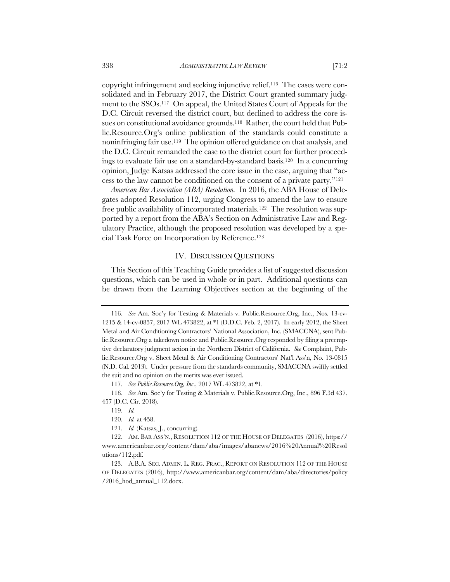copyright infringement and seeking injunctive relief.116 The cases were consolidated and in February 2017, the District Court granted summary judgment to the SSOs.117 On appeal, the United States Court of Appeals for the D.C. Circuit reversed the district court, but declined to address the core issues on constitutional avoidance grounds.118 Rather, the court held that Public.Resource.Org's online publication of the standards could constitute a noninfringing fair use.119 The opinion offered guidance on that analysis, and the D.C. Circuit remanded the case to the district court for further proceedings to evaluate fair use on a standard-by-standard basis.120 In a concurring opinion, Judge Katsas addressed the core issue in the case, arguing that "access to the law cannot be conditioned on the consent of a private party."121

*American Bar Association (ABA) Resolution.* In 2016, the ABA House of Delegates adopted Resolution 112, urging Congress to amend the law to ensure free public availability of incorporated materials.122 The resolution was supported by a report from the ABA's Section on Administrative Law and Regulatory Practice, although the proposed resolution was developed by a special Task Force on Incorporation by Reference.123

# IV. DISCUSSION QUESTIONS

This Section of this Teaching Guide provides a list of suggested discussion questions, which can be used in whole or in part. Additional questions can be drawn from the Learning Objectives section at the beginning of the

117. *See Public.Resource.Org, Inc*., 2017 WL 473822, at \*1.

<sup>116.</sup> *See* Am. Soc'y for Testing & Materials v. Public.Resource.Org, Inc., Nos. 13-cv-1215 & 14-cv-0857, 2017 WL 473822, at \*1 (D.D.C. Feb. 2, 2017). In early 2012, the Sheet Metal and Air Conditioning Contractors' National Association, Inc. (SMACCNA), sent Public.Resource.Org a takedown notice and Public.Resource.Org responded by filing a preemptive declaratory judgment action in the Northern District of California. *See* Complaint, Public.Resource.Org v. Sheet Metal & Air Conditioning Contractors' Nat'l Ass'n, No. 13-0815 (N.D. Cal. 2013). Under pressure from the standards community, SMACCNA swiftly settled the suit and no opinion on the merits was ever issued.

<sup>118.</sup> *See* Am. Soc'y for Testing & Materials v. Public.Resource.Org, Inc., 896 F.3d 437, 457 (D.C. Cir. 2018).

<sup>119.</sup> *Id.*

<sup>120.</sup> *Id.* at 458.

<sup>121.</sup> *Id.* (Katsas, J., concurring).

<sup>122.</sup> AM. BAR ASS'N., RESOLUTION 112 OF THE HOUSE OF DELEGATES (2016), https:// www.americanbar.org/content/dam/aba/images/abanews/2016%20Annual%20Resol utions/112.pdf.

<sup>123.</sup> A.B.A. SEC. ADMIN. L. REG. PRAC., REPORT ON RESOLUTION 112 OF THE HOUSE OF DELEGATES (2016), http://www.americanbar.org/content/dam/aba/directories/policy /2016\_hod\_annual\_112.docx.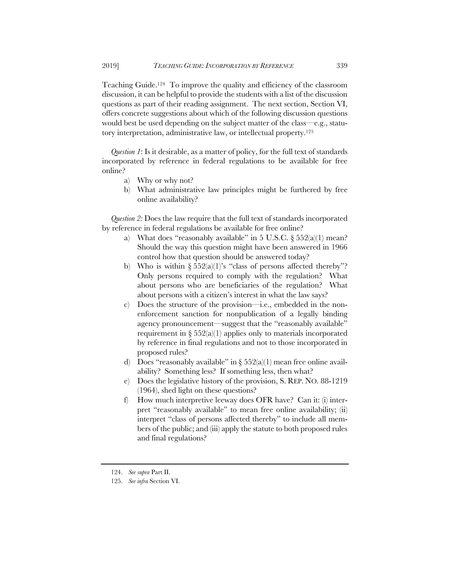Teaching Guide.124 To improve the quality and efficiency of the classroom discussion, it can be helpful to provide the students with a list of the discussion questions as part of their reading assignment. The next section, Section VI, offers concrete suggestions about which of the following discussion questions would best be used depending on the subject matter of the class—e.g., statutory interpretation, administrative law, or intellectual property.125

*Question 1*: Is it desirable, as a matter of policy, for the full text of standards incorporated by reference in federal regulations to be available for free online?

- a) Why or why not?
- b) What administrative law principles might be furthered by free online availability?

*Question 2:* Does the law require that the full text of standards incorporated by reference in federal regulations be available for free online?

- a) What does "reasonably available" in 5 U.S.C. § 552(a)(1) mean? Should the way this question might have been answered in 1966 control how that question should be answered today?
- b) Who is within  $\S 552(a)(1)$ 's "class of persons affected thereby"? Only persons required to comply with the regulation? What about persons who are beneficiaries of the regulation? What about persons with a citizen's interest in what the law says?
- c) Does the structure of the provision—i.e., embedded in the nonenforcement sanction for nonpublication of a legally binding agency pronouncement—suggest that the "reasonably available" requirement in  $\S 552(a)(1)$  applies only to materials incorporated by reference in final regulations and not to those incorporated in proposed rules?
- d) Does "reasonably available" in  $\S 552(a)(1)$  mean free online availability? Something less? If something less, then what?
- e) Does the legislative history of the provision, S. REP. NO. 88-1219 (1964), shed light on these questions?
- f) How much interpretive leeway does OFR have? Can it: (i) interpret "reasonably available" to mean free online availability; (ii) interpret "class of persons affected thereby" to include all members of the public; and (iii) apply the statute to both proposed rules and final regulations?

<sup>124.</sup> *See supra* Part II.

<sup>125.</sup> *See infra* Section VI.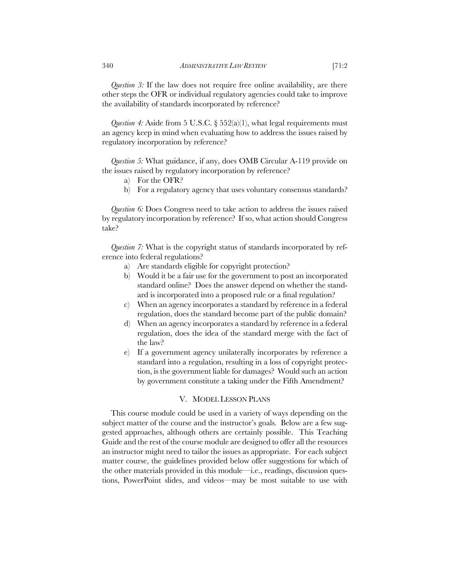*Question 3:* If the law does not require free online availability, are there other steps the OFR or individual regulatory agencies could take to improve the availability of standards incorporated by reference?

*Question 4:* Aside from 5 U.S.C.  $\S 552(a)(1)$ , what legal requirements must an agency keep in mind when evaluating how to address the issues raised by regulatory incorporation by reference?

*Question 5:* What guidance, if any, does OMB Circular A-119 provide on the issues raised by regulatory incorporation by reference?

- a) For the OFR?
- b) For a regulatory agency that uses voluntary consensus standards?

*Question 6:* Does Congress need to take action to address the issues raised by regulatory incorporation by reference? If so, what action should Congress take?

*Question 7:* What is the copyright status of standards incorporated by reference into federal regulations?

- a) Are standards eligible for copyright protection?
- b) Would it be a fair use for the government to post an incorporated standard online? Does the answer depend on whether the standard is incorporated into a proposed rule or a final regulation?
- c) When an agency incorporates a standard by reference in a federal regulation, does the standard become part of the public domain?
- d) When an agency incorporates a standard by reference in a federal regulation, does the idea of the standard merge with the fact of the law?
- e) If a government agency unilaterally incorporates by reference a standard into a regulation, resulting in a loss of copyright protection, is the government liable for damages? Would such an action by government constitute a taking under the Fifth Amendment?

# V. MODEL LESSON PLANS

This course module could be used in a variety of ways depending on the subject matter of the course and the instructor's goals. Below are a few suggested approaches, although others are certainly possible. This Teaching Guide and the rest of the course module are designed to offer all the resources an instructor might need to tailor the issues as appropriate. For each subject matter course, the guidelines provided below offer suggestions for which of the other materials provided in this module—i.e., readings, discussion questions, PowerPoint slides, and videos—may be most suitable to use with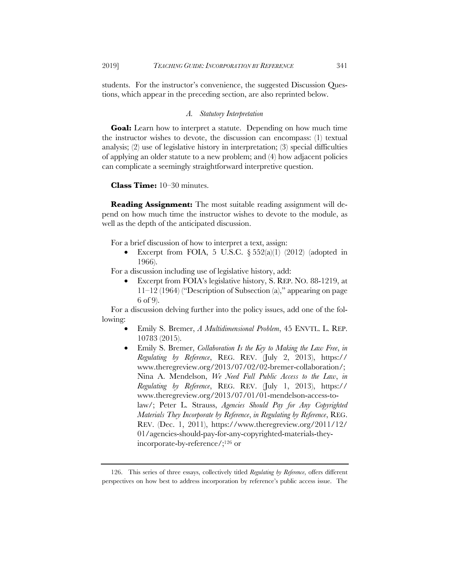students. For the instructor's convenience, the suggested Discussion Questions, which appear in the preceding section, are also reprinted below.

#### *A. Statutory Interpretation*

**Goal:** Learn how to interpret a statute. Depending on how much time the instructor wishes to devote, the discussion can encompass: (1) textual analysis; (2) use of legislative history in interpretation; (3) special difficulties of applying an older statute to a new problem; and (4) how adjacent policies can complicate a seemingly straightforward interpretive question.

**Class Time:** 10–30 minutes.

**Reading Assignment:** The most suitable reading assignment will depend on how much time the instructor wishes to devote to the module, as well as the depth of the anticipated discussion.

For a brief discussion of how to interpret a text, assign:

Excerpt from FOIA, 5 U.S.C.  $\S 552(a)(1)$  (2012) (adopted in 1966).

For a discussion including use of legislative history, add:

• Excerpt from FOIA's legislative history, S. REP. NO. 88-1219, at 11–12 (1964) ("Description of Subsection (a)," appearing on page 6 of 9).

For a discussion delving further into the policy issues, add one of the following:

- Emily S. Bremer, *A Multidimensional Problem*, 45 ENVTL. L. REP. 10783 (2015).
- Emily S. Bremer, *Collaboration Is the Key to Making the Law Free*, *in Regulating by Reference*, REG. REV. (July 2, 2013), https:// www.theregreview.org/2013/07/02/02-bremer-collaboration/; Nina A. Mendelson, *We Need Full Public Access to the Law*, *in Regulating by Reference*, REG. REV. (July 1, 2013), https:// www.theregreview.org/2013/07/01/01-mendelson-access-tolaw/; Peter L. Strauss, *Agencies Should Pay for Any Copyrighted Materials They Incorporate by Reference*, *in Regulating by Reference*, REG. REV. (Dec. 1, 2011), https://www.theregreview.org/2011/12/ 01/agencies-should-pay-for-any-copyrighted-materials-theyincorporate-by-reference/;126 or

<sup>126.</sup> This series of three essays, collectively titled *Regulating by Reference*, offers different perspectives on how best to address incorporation by reference's public access issue. The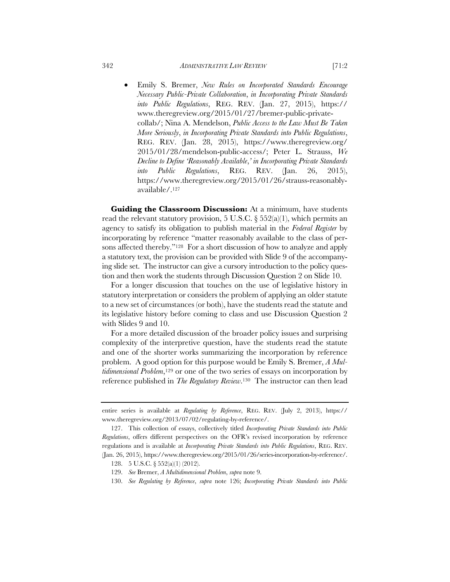• Emily S. Bremer, *New Rules on Incorporated Standards Encourage Necessary Public-Private Collaboration*, *in Incorporating Private Standards into Public Regulations*, REG. REV. (Jan. 27, 2015), https:// www.theregreview.org/2015/01/27/bremer-public-privatecollab/; Nina A. Mendelson, *Public Access to the Law Must Be Taken More Seriously*, *in Incorporating Private Standards into Public Regulations*, REG. REV. (Jan. 28, 2015), https://www.theregreview.org/ 2015/01/28/mendelson-public-access/; Peter L. Strauss, *We Decline to Define 'Reasonably Available*,*' in Incorporating Private Standards into Public Regulations*, REG. REV. (Jan. 26, 2015), https://www.theregreview.org/2015/01/26/strauss-reasonablyavailable/.127

**Guiding the Classroom Discussion:** At a minimum, have students read the relevant statutory provision, 5 U.S.C.  $\S 552(a)(1)$ , which permits an agency to satisfy its obligation to publish material in the *Federal Register* by incorporating by reference "matter reasonably available to the class of persons affected thereby."<sup>128</sup> For a short discussion of how to analyze and apply a statutory text, the provision can be provided with Slide 9 of the accompanying slide set. The instructor can give a cursory introduction to the policy question and then work the students through Discussion Question 2 on Slide 10.

For a longer discussion that touches on the use of legislative history in statutory interpretation or considers the problem of applying an older statute to a new set of circumstances (or both), have the students read the statute and its legislative history before coming to class and use Discussion Question 2 with Slides 9 and 10.

For a more detailed discussion of the broader policy issues and surprising complexity of the interpretive question, have the students read the statute and one of the shorter works summarizing the incorporation by reference problem. A good option for this purpose would be Emily S. Bremer, *A Multidimensional Problem*,<sup>129</sup> or one of the two series of essays on incorporation by reference published in *The Regulatory Review*.130 The instructor can then lead

entire series is available at *Regulating by Reference*, REG. REV. (July 2, 2013), https:// www.theregreview.org/2013/07/02/regulating-by-reference/.

<sup>127.</sup> This collection of essays, collectively titled *Incorporating Private Standards into Public Regulations*, offers different perspectives on the OFR's revised incorporation by reference regulations and is available at *Incorporating Private Standards into Public Regulations*, REG. REV. (Jan. 26, 2015), https://www.theregreview.org/2015/01/26/series-incorporation-by-reference/.

<sup>128.</sup> 5 U.S.C. § 552(a)(1) (2012).

<sup>129.</sup> *See* Bremer, *A Multidimensional Problem*, *supra* note 9.

<sup>130.</sup> *See Regulating by Reference*, *supra* note 126; *Incorporating Private Standards into Public*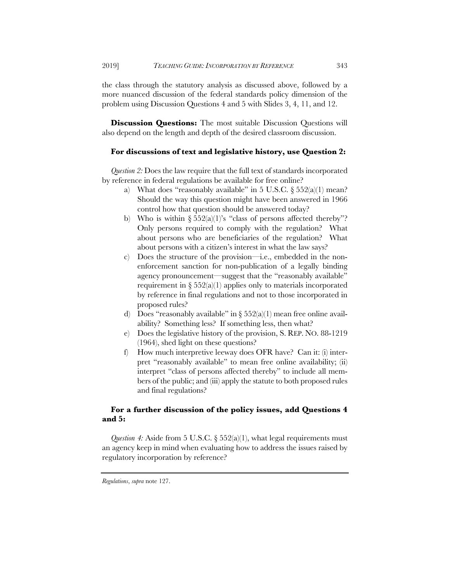**Discussion Questions:** The most suitable Discussion Questions will also depend on the length and depth of the desired classroom discussion.

# **For discussions of text and legislative history, use Question 2:**

*Question 2:* Does the law require that the full text of standards incorporated by reference in federal regulations be available for free online?

- a) What does "reasonably available" in 5 U.S.C.  $\S 552(a)(1)$  mean? Should the way this question might have been answered in 1966 control how that question should be answered today?
- b) Who is within  $\S 552(a)(1)$ 's "class of persons affected thereby"? Only persons required to comply with the regulation? What about persons who are beneficiaries of the regulation? What about persons with a citizen's interest in what the law says?
- c) Does the structure of the provision—i.e., embedded in the nonenforcement sanction for non-publication of a legally binding agency pronouncement—suggest that the "reasonably available" requirement in  $\S 552(a)(1)$  applies only to materials incorporated by reference in final regulations and not to those incorporated in proposed rules?
- d) Does "reasonably available" in  $\S 552(a)(1)$  mean free online availability? Something less? If something less, then what?
- e) Does the legislative history of the provision, S. REP. NO. 88-1219 (1964), shed light on these questions?
- f) How much interpretive leeway does OFR have? Can it: (i) interpret "reasonably available" to mean free online availability; (ii) interpret "class of persons affected thereby" to include all members of the public; and (iii) apply the statute to both proposed rules and final regulations?

# **For a further discussion of the policy issues, add Questions 4 and 5:**

*Question 4:* Aside from 5 U.S.C. § 552(a)(1), what legal requirements must an agency keep in mind when evaluating how to address the issues raised by regulatory incorporation by reference?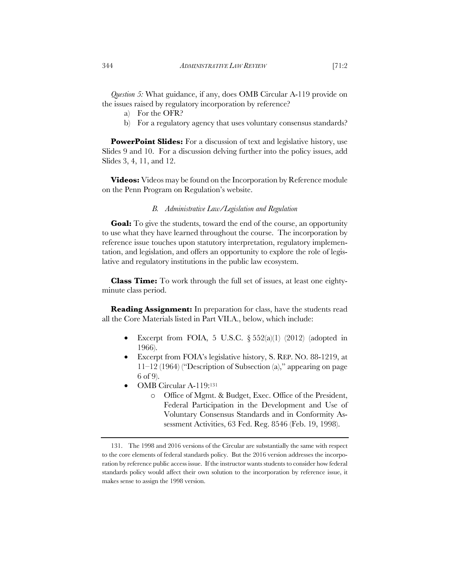*Question 5:* What guidance, if any, does OMB Circular A-119 provide on the issues raised by regulatory incorporation by reference?

- a) For the OFR?
- b) For a regulatory agency that uses voluntary consensus standards?

**PowerPoint Slides:** For a discussion of text and legislative history, use Slides 9 and 10. For a discussion delving further into the policy issues, add Slides 3, 4, 11, and 12.

**Videos:** Videos may be found on the Incorporation by Reference module on the Penn Program on Regulation's website.

## *B. Administrative Law/Legislation and Regulation*

**Goal:** To give the students, toward the end of the course, an opportunity to use what they have learned throughout the course. The incorporation by reference issue touches upon statutory interpretation, regulatory implementation, and legislation, and offers an opportunity to explore the role of legislative and regulatory institutions in the public law ecosystem.

**Class Time:** To work through the full set of issues, at least one eightyminute class period.

**Reading Assignment:** In preparation for class, have the students read all the Core Materials listed in Part VII.A., below, which include:

- Excerpt from FOIA, 5 U.S.C.  $\S 552(a)(1)$  (2012) (adopted in 1966).
- Excerpt from FOIA's legislative history, S. REP. NO. 88-1219, at 11–12 (1964) ("Description of Subsection (a)," appearing on page 6 of 9).
- OMB Circular A-119:131
	- o Office of Mgmt. & Budget, Exec. Office of the President, Federal Participation in the Development and Use of Voluntary Consensus Standards and in Conformity Assessment Activities, 63 Fed. Reg. 8546 (Feb. 19, 1998).

<sup>131.</sup> The 1998 and 2016 versions of the Circular are substantially the same with respect to the core elements of federal standards policy. But the 2016 version addresses the incorporation by reference public access issue. If the instructor wants students to consider how federal standards policy would affect their own solution to the incorporation by reference issue, it makes sense to assign the 1998 version.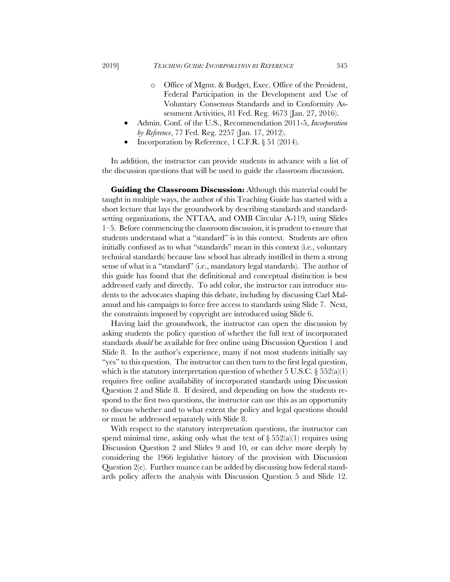- o Office of Mgmt. & Budget, Exec. Office of the President, Federal Participation in the Development and Use of Voluntary Consensus Standards and in Conformity Assessment Activities, 81 Fed. Reg. 4673 (Jan. 27, 2016).
- Admin. Conf. of the U.S., Recommendation 2011-5, *Incorporation by Reference*, 77 Fed. Reg. 2257 (Jan. 17, 2012).
- Incorporation by Reference, 1 C.F.R.  $\S 51$  (2014).

In addition, the instructor can provide students in advance with a list of the discussion questions that will be used to guide the classroom discussion.

**Guiding the Classroom Discussion:** Although this material could be taught in multiple ways, the author of this Teaching Guide has started with a short lecture that lays the groundwork by describing standards and standardsetting organizations, the NTTAA, and OMB Circular A-119, using Slides 1–5. Before commencing the classroom discussion, it is prudent to ensure that students understand what a "standard" is in this context. Students are often initially confused as to what "standards" mean in this context (i.e., voluntary technical standards) because law school has already instilled in them a strong sense of what is a "standard" (i.e., mandatory legal standards). The author of this guide has found that the definitional and conceptual distinction is best addressed early and directly. To add color, the instructor can introduce students to the advocates shaping this debate, including by discussing Carl Malamud and his campaign to force free access to standards using Slide 7. Next, the constraints imposed by copyright are introduced using Slide 6.

Having laid the groundwork, the instructor can open the discussion by asking students the policy question of whether the full text of incorporated standards *should* be available for free online using Discussion Question 1 and Slide 8. In the author's experience, many if not most students initially say "yes" to this question. The instructor can then turn to the first legal question, which is the statutory interpretation question of whether 5 U.S.C.  $\S 552(a)(1)$ requires free online availability of incorporated standards using Discussion Question 2 and Slide 8. If desired, and depending on how the students respond to the first two questions, the instructor can use this as an opportunity to discuss whether and to what extent the policy and legal questions should or must be addressed separately with Slide 8.

With respect to the statutory interpretation questions, the instructor can spend minimal time, asking only what the text of  $\S 552(a)(1)$  requires using Discussion Question 2 and Slides 9 and 10, or can delve more deeply by considering the 1966 legislative history of the provision with Discussion Question 2(e). Further nuance can be added by discussing how federal standards policy affects the analysis with Discussion Question 5 and Slide 12.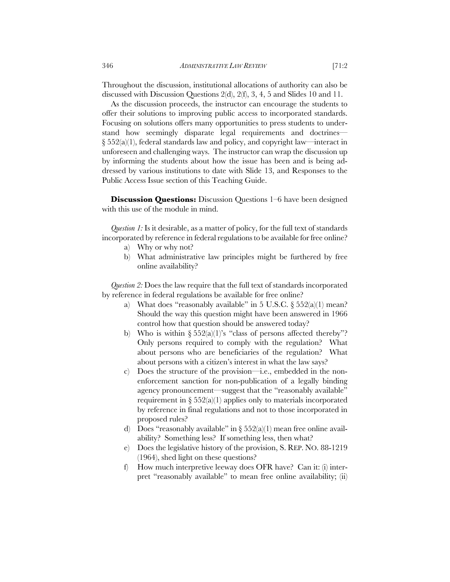Throughout the discussion, institutional allocations of authority can also be discussed with Discussion Questions 2(d), 2(f), 3, 4, 5 and Slides 10 and 11.

As the discussion proceeds, the instructor can encourage the students to offer their solutions to improving public access to incorporated standards. Focusing on solutions offers many opportunities to press students to understand how seemingly disparate legal requirements and doctrines— § 552(a)(1), federal standards law and policy, and copyright law—interact in unforeseen and challenging ways. The instructor can wrap the discussion up by informing the students about how the issue has been and is being addressed by various institutions to date with Slide 13, and Responses to the Public Access Issue section of this Teaching Guide.

**Discussion Questions:** Discussion Questions 1–6 have been designed with this use of the module in mind.

*Question 1:* Is it desirable, as a matter of policy, for the full text of standards incorporated by reference in federal regulations to be available for free online?

- a) Why or why not?
- b) What administrative law principles might be furthered by free online availability?

*Question 2:* Does the law require that the full text of standards incorporated by reference in federal regulations be available for free online?

- a) What does "reasonably available" in 5 U.S.C.  $\S 552(a)(1)$  mean? Should the way this question might have been answered in 1966 control how that question should be answered today?
- b) Who is within  $\S 552(a)(1)$ 's "class of persons affected thereby"? Only persons required to comply with the regulation? What about persons who are beneficiaries of the regulation? What about persons with a citizen's interest in what the law says?
- c) Does the structure of the provision—i.e., embedded in the nonenforcement sanction for non-publication of a legally binding agency pronouncement—suggest that the "reasonably available" requirement in  $\S 552(a)(1)$  applies only to materials incorporated by reference in final regulations and not to those incorporated in proposed rules?
- d) Does "reasonably available" in  $\S 552(a)(1)$  mean free online availability? Something less? If something less, then what?
- e) Does the legislative history of the provision, S. REP. NO. 88-1219 (1964), shed light on these questions?
- f) How much interpretive leeway does OFR have? Can it: (i) interpret "reasonably available" to mean free online availability; (ii)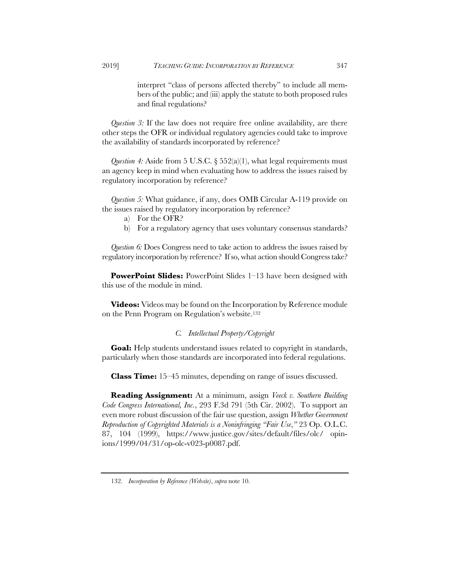interpret "class of persons affected thereby" to include all members of the public; and (iii) apply the statute to both proposed rules and final regulations?

*Question 3:* If the law does not require free online availability, are there other steps the OFR or individual regulatory agencies could take to improve the availability of standards incorporated by reference?

*Question 4:* Aside from 5 U.S.C. § 552(a)(1), what legal requirements must an agency keep in mind when evaluating how to address the issues raised by regulatory incorporation by reference?

*Question 5:* What guidance, if any, does OMB Circular A-119 provide on the issues raised by regulatory incorporation by reference?

- a) For the OFR?
- b) For a regulatory agency that uses voluntary consensus standards?

*Question 6:* Does Congress need to take action to address the issues raised by regulatory incorporation by reference? If so, what action should Congress take?

**PowerPoint Slides:** PowerPoint Slides 1–13 have been designed with this use of the module in mind.

**Videos:** Videos may be found on the Incorporation by Reference module on the Penn Program on Regulation's website.132

# *C. Intellectual Property/Copyright*

**Goal:** Help students understand issues related to copyright in standards, particularly when those standards are incorporated into federal regulations.

**Class Time:** 15–45 minutes, depending on range of issues discussed.

**Reading Assignment:** At a minimum, assign *Veeck v. Southern Building Code Congress International, Inc.*, 293 F.3d 791 (5th Cir. 2002). To support an even more robust discussion of the fair use question, assign *Whether Government Reproduction of Copyrighted Materials is a Noninfringing "Fair Use*,*"* 23 Op. O.L.C. 87, 104 (1999), https://www.justice.gov/sites/default/files/olc/ opinions/1999/04/31/op-olc-v023-p0087.pdf.

<sup>132</sup>*. Incorporation by Reference (Website)*, *supra* note 10.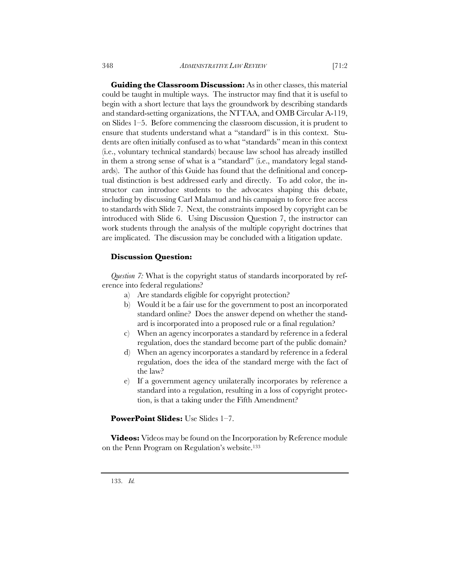**Guiding the Classroom Discussion:** As in other classes, this material could be taught in multiple ways. The instructor may find that it is useful to begin with a short lecture that lays the groundwork by describing standards and standard-setting organizations, the NTTAA, and OMB Circular A-119, on Slides 1–5. Before commencing the classroom discussion, it is prudent to ensure that students understand what a "standard" is in this context. Stu-

dents are often initially confused as to what "standards" mean in this context (i.e., voluntary technical standards) because law school has already instilled in them a strong sense of what is a "standard" (i.e., mandatory legal standards). The author of this Guide has found that the definitional and conceptual distinction is best addressed early and directly. To add color, the instructor can introduce students to the advocates shaping this debate, including by discussing Carl Malamud and his campaign to force free access to standards with Slide 7. Next, the constraints imposed by copyright can be introduced with Slide 6. Using Discussion Question 7, the instructor can work students through the analysis of the multiple copyright doctrines that are implicated. The discussion may be concluded with a litigation update.

# **Discussion Question:**

*Question 7:* What is the copyright status of standards incorporated by reference into federal regulations?

- a) Are standards eligible for copyright protection?
- b) Would it be a fair use for the government to post an incorporated standard online? Does the answer depend on whether the standard is incorporated into a proposed rule or a final regulation?
- c) When an agency incorporates a standard by reference in a federal regulation, does the standard become part of the public domain?
- d) When an agency incorporates a standard by reference in a federal regulation, does the idea of the standard merge with the fact of the law?
- e) If a government agency unilaterally incorporates by reference a standard into a regulation, resulting in a loss of copyright protection, is that a taking under the Fifth Amendment?

# PowerPoint Slides: Use Slides 1-7.

**Videos:** Videos may be found on the Incorporation by Reference module on the Penn Program on Regulation's website.133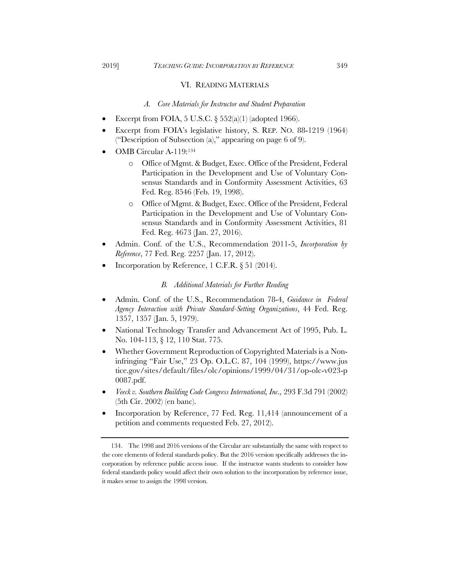# VI. READING MATERIALS

## *A. Core Materials for Instructor and Student Preparation*

- Excerpt from FOIA, 5 U.S.C.  $\S 552(a)(1)$  (adopted 1966).
- Excerpt from FOIA's legislative history, S. REP. NO. 88-1219 (1964) ("Description of Subsection (a)," appearing on page 6 of 9).
- OMB Circular A-119:134
	- o Office of Mgmt. & Budget, Exec. Office of the President, Federal Participation in the Development and Use of Voluntary Consensus Standards and in Conformity Assessment Activities, 63 Fed. Reg. 8546 (Feb. 19, 1998).
	- o Office of Mgmt. & Budget, Exec. Office of the President, Federal Participation in the Development and Use of Voluntary Consensus Standards and in Conformity Assessment Activities, 81 Fed. Reg. 4673 (Jan. 27, 2016).
- Admin. Conf. of the U.S., Recommendation 2011-5, *Incorporation by Reference*, 77 Fed. Reg. 2257 (Jan. 17, 2012).
- Incorporation by Reference, 1 C.F.R.  $\S 51$  (2014).

# *B. Additional Materials for Further Reading*

- Admin. Conf. of the U.S., Recommendation 78-4, *Guidance in Federal Agency Interaction with Private Standard-Setting Organizations*, 44 Fed. Reg. 1357, 1357 (Jan. 5, 1979).
- National Technology Transfer and Advancement Act of 1995, Pub. L. No. 104-113, § 12, 110 Stat. 775.
- Whether Government Reproduction of Copyrighted Materials is a Noninfringing "Fair Use," 23 Op. O.L.C. 87, 104 (1999), https://www.jus tice.gov/sites/default/files/olc/opinions/1999/04/31/op-olc-v023-p 0087.pdf.
- *Veeck v. Southern Building Code Congress International, Inc.,* 293 F.3d 791 (2002) (5th Cir. 2002) (en banc).
- Incorporation by Reference, 77 Fed. Reg. 11,414 (announcement of a petition and comments requested Feb. 27, 2012).

<sup>134.</sup> The 1998 and 2016 versions of the Circular are substantially the same with respect to the core elements of federal standards policy. But the 2016 version specifically addresses the incorporation by reference public access issue. If the instructor wants students to consider how federal standards policy would affect their own solution to the incorporation by reference issue, it makes sense to assign the 1998 version.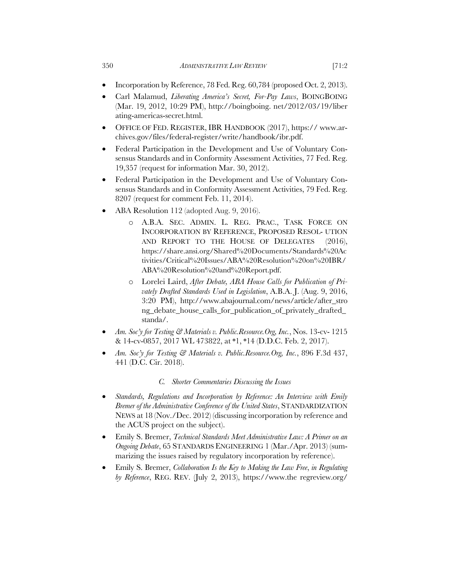- Incorporation by Reference, 78 Fed. Reg. 60,784 (proposed Oct. 2, 2013).
- Carl Malamud, *Liberating America's Secret, For-Pay Laws*, BOINGBOING (Mar. 19, 2012, 10:29 PM), http://boingboing. net/2012/03/19/liber ating-americas-secret.html.
- OFFICE OF FED. REGISTER, IBR HANDBOOK (2017), https:// www.archives.gov/files/federal-register/write/handbook/ibr.pdf.
- Federal Participation in the Development and Use of Voluntary Consensus Standards and in Conformity Assessment Activities, 77 Fed. Reg. 19,357 (request for information Mar. 30, 2012).
- Federal Participation in the Development and Use of Voluntary Consensus Standards and in Conformity Assessment Activities, 79 Fed. Reg. 8207 (request for comment Feb. 11, 2014).
- ABA Resolution 112 (adopted Aug. 9, 2016).
	- o A.B.A. SEC. ADMIN. L. REG. PRAC., TASK FORCE ON INCORPORATION BY REFERENCE, PROPOSED RESOL- UTION AND REPORT TO THE HOUSE OF DELEGATES (2016), https://share.ansi.org/Shared%20Documents/Standards%20Ac tivities/Critical%20Issues/ABA%20Resolution%20on%20IBR/ ABA%20Resolution%20and%20Report.pdf.
	- o Lorelei Laird, *After Debate, ABA House Calls for Publication of Privately Drafted Standards Used in Legislation*, A.B.A. J. (Aug. 9, 2016, 3:20 PM), http://www.abajournal.com/news/article/after\_stro ng\_debate\_house\_calls\_for\_publication\_of\_privately\_drafted\_ standa/.
- *Am. Soc'y for Testing & Materials v. Public.Resource.Org, Inc.*, Nos. 13-cv- 1215 & 14-cv-0857, 2017 WL 473822, at \*1, \*14 (D.D.C. Feb. 2, 2017).
- *Am. Soc'y for Testing & Materials v. Public.Resource.Org, Inc.*, 896 F.3d 437, 441 (D.C. Cir. 2018).

# *C. Shorter Commentaries Discussing the Issues*

- *Standards, Regulations and Incorporation by Reference: An Interview with Emily Bremer of the Administrative Conference of the United States*, STANDARDIZATION NEWS at 18 (Nov./Dec. 2012) (discussing incorporation by reference and the ACUS project on the subject).
- Emily S. Bremer, *Technical Standards Meet Administrative Law: A Primer on an Ongoing Debate*, 65 STANDARDS ENGINEERING 1 (Mar./Apr. 2013) (summarizing the issues raised by regulatory incorporation by reference).
- Emily S. Bremer, *Collaboration Is the Key to Making the Law Free*, *in Regulating by Reference*, REG. REV. (July 2, 2013), https://www.the regreview.org/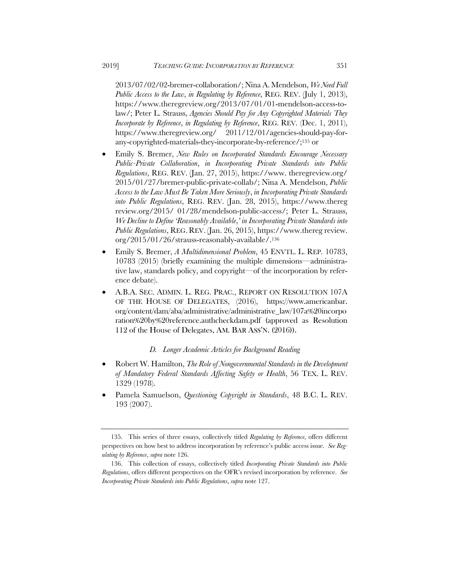2013/07/02/02-bremer-collaboration/; Nina A. Mendelson, *We Need Full Public Access to the Law*, *in Regulating by Reference*, REG. REV. (July 1, 2013), https://www.theregreview.org/2013/07/01/01-mendelson-access-tolaw/; Peter L. Strauss, *Agencies Should Pay for Any Copyrighted Materials They Incorporate by Reference*, *in Regulating by Reference*, REG. REV. (Dec. 1, 2011), https://www.theregreview.org/ 2011/12/01/agencies-should-pay-forany-copyrighted-materials-they-incorporate-by-reference/;135 or

- Emily S. Bremer, *New Rules on Incorporated Standards Encourage Necessary Public-Private Collaboration*, *in Incorporating Private Standards into Public Regulations*, REG. REV. (Jan. 27, 2015), https://www. theregreview.org/ 2015/01/27/bremer-public-private-collab/; Nina A. Mendelson, *Public Access to the Law Must Be Taken More Seriously*, *in Incorporating Private Standards into Public Regulations*, REG. REV. (Jan. 28, 2015), https://www.thereg review.org/2015/ 01/28/mendelson-public-access/; Peter L. Strauss, *We Decline to Define 'Reasonably Available*,*' in Incorporating Private Standards into Public Regulations*, REG. REV. (Jan. 26, 2015), https://www.thereg review. org/2015/01/26/strauss-reasonably-available/.136
- Emily S. Bremer, *A Multidimensional Problem*, 45 ENVTL. L. REP. 10783, 10783 (2015) (briefly examining the multiple dimensions—administrative law, standards policy, and copyright—of the incorporation by reference debate).
- A.B.A. SEC. ADMIN. L. REG. PRAC., REPORT ON RESOLUTION 107A OF THE HOUSE OF DELEGATES, (2016), https://www.americanbar. org/content/dam/aba/administrative/administrative\_law/107a%20incorpo ration%20by%20reference.authcheckdam.pdf (approved as Resolution 112 of the House of Delegates, AM. BAR ASS'N. (2016)).

#### *D. Longer Academic Articles for Background Reading*

- Robert W. Hamilton, *The Role of Nongovernmental Standards in the Development of Mandatory Federal Standards Affecting Safety or Health*, 56 TEX. L. REV. 1329 (1978).
- Pamela Samuelson, *Questioning Copyright in Standards*, 48 B.C. L. REV. 193 (2007).

<sup>135.</sup> This series of three essays, collectively titled *Regulating by Reference*, offers different perspectives on how best to address incorporation by reference's public access issue. *See Regulating by Reference*, *supra* note 126.

<sup>136.</sup> This collection of essays, collectively titled *Incorporating Private Standards into Public Regulations*, offers different perspectives on the OFR's revised incorporation by reference. *See Incorporating Private Standards into Public Regulations*, *supra* note 127.